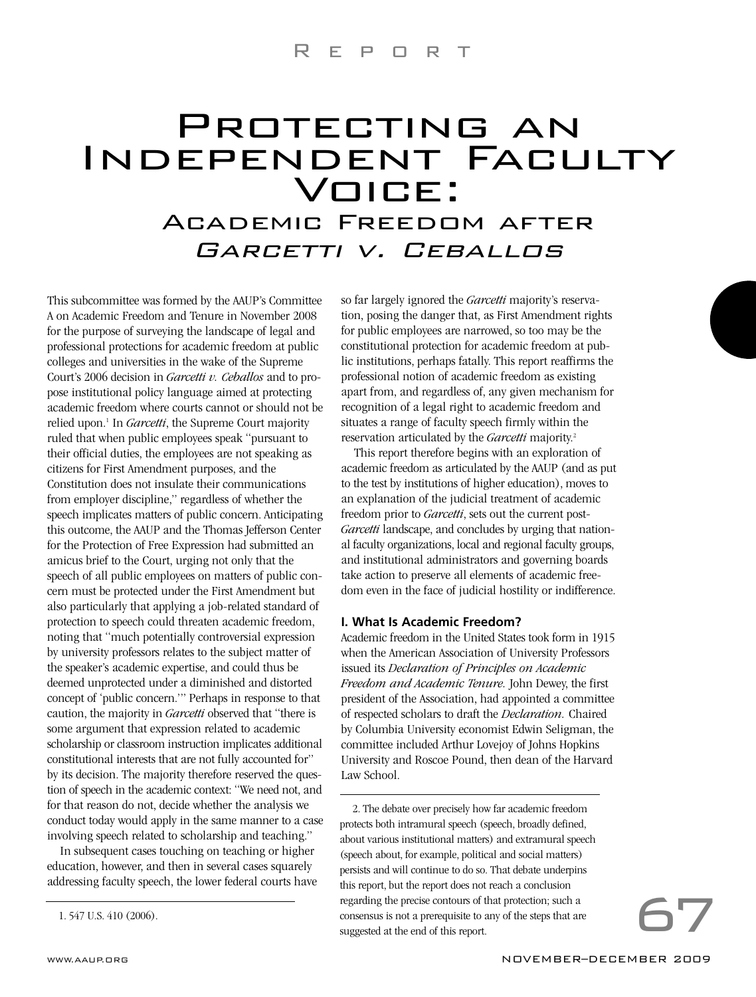## Protecting an PROTECTING AN<br>INDEPENDENT FACULTY IDENT<br>VOICE: **VOICE:**<br>Academic Freedom after

# Garcetti v. Ceballos

This subcommittee was formed by the AAUP's Committee A on Academic Freedom and Tenure in November 2008 for the purpose of surveying the landscape of legal and professional protections for academic freedom at public colleges and universities in the wake of the Supreme Court's 2006 decision in *Garcetti v. Ceballos* and to propose institutional policy language aimed at protecting academic freedom where courts cannot or should not be relied upon.<sup>1</sup> In *Garcetti*, the Supreme Court majority ruled that when public employees speak "pursuant to their official duties, the employees are not speaking as citizens for First Amendment purposes, and the Constitution does not insulate their communications from employer discipline," regardless of whether the speech implicates matters of public concern. Anticipating this outcome, the AAUP and the Thomas Jefferson Center for the Protection of Free Expression had submitted an amicus brief to the Court, urging not only that the speech of all public employees on matters of public concern must be protected under the First Amendment but also particularly that applying a job-related standard of protection to speech could threaten academic freedom, noting that "much potentially controversial expression by university professors relates to the subject matter of the speaker's academic expertise, and could thus be deemed unprotected under a diminished and distorted concept of 'public concern.'" Perhaps in response to that caution, the majority in *Garcetti* observed that "there is some argument that expression related to academic scholarship or classroom instruction implicates additional constitutional interests that are not fully accounted for" by its decision. The majority therefore reserved the question of speech in the academic context: "We need not, and for that reason do not, decide whether the analysis we conduct today would apply in the same manner to a case involving speech related to scholarship and teaching."

In subsequent cases touching on teaching or higher education, however, and then in several cases squarely addressing faculty speech, the lower federal courts have so far largely ignored the *Garcetti* majority's reservation, posing the danger that, as First Amendment rights for public employees are narrowed, so too may be the constitutional protection for academic freedom at public institutions, perhaps fatally. This report reaffirms the professional notion of academic freedom as existing apart from, and regardless of, any given mechanism for recognition of a legal right to academic freedom and situates a range of faculty speech firmly within the reservation articulated by the *Garcetti* majority.2

This report therefore begins with an exploration of academic freedom as articulated by the AAUP (and as put to the test by institutions of higher education), moves to an explanation of the judicial treatment of academic freedom prior to *Garcetti*, sets out the current post-*Garcetti* landscape, and concludes by urging that national faculty organizations, local and regional faculty groups, and institutional administrators and governing boards take action to preserve all elements of academic freedom even in the face of judicial hostility or indifference.

### **I. What Is Academic Freedom?**

Academic freedom in the United States took form in 1915 when the American Association of University Professors issued its *Declaration of Principles on Academic Freedom and Academic Tenure.* John Dewey, the first president of the Association, had appointed a committee of respected scholars to draft the *Declaration.* Chaired by Columbia University economist Edwin Seligman, the committee included Arthur Lovejoy of Johns Hopkins University and Roscoe Pound, then dean of the Harvard Law School.

2. The debate over precisely how far academic freedom protects both intramural speech (speech, broadly defined, about various institutional matters) and extramural speech (speech about, for example, political and social matters) persists and will continue to do so. That debate underpins this report, but the report does not reach a conclusion regarding the precise contours of that protection; such a consensus is not a prerequisite to any of the steps that are suggested at the end of this report.

<sup>1. 547</sup> U.S. 410 (2006).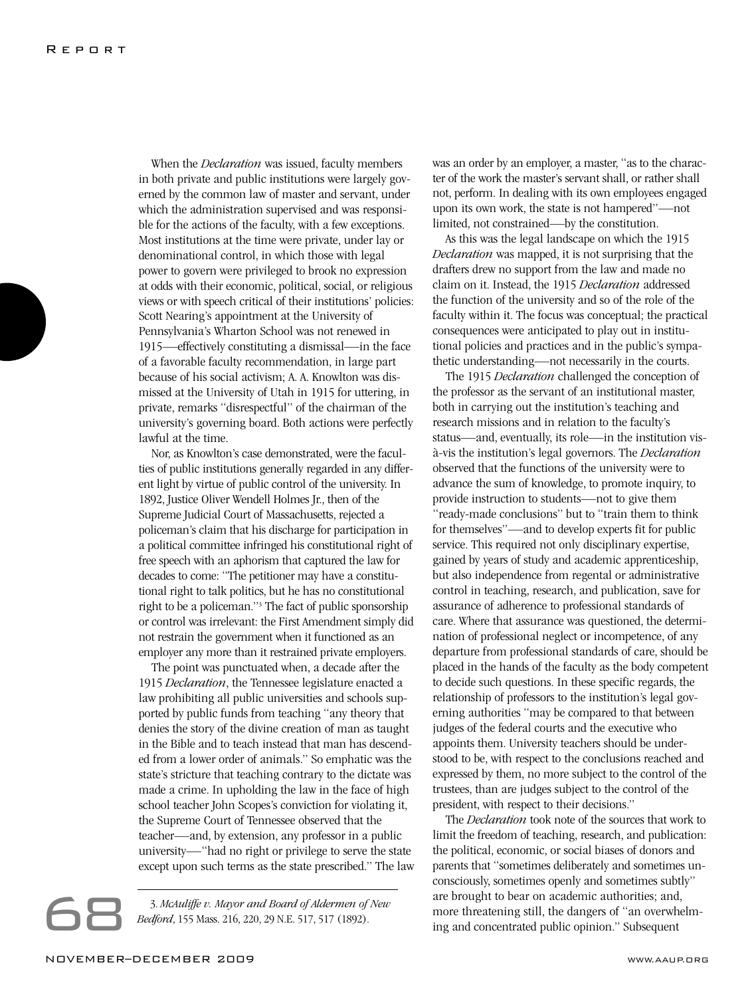When the *Declaration* was issued, faculty members in both private and public institutions were largely governed by the common law of master and servant, under which the administration supervised and was responsible for the actions of the faculty, with a few exceptions. Most institutions at the time were private, under lay or denominational control, in which those with legal power to govern were privileged to brook no expression at odds with their economic, political, social, or religious views or with speech critical of their institutions' policies: Scott Nearing's appointment at the University of Pennsylvania's Wharton School was not renewed in 1915—effectively constituting a dismissal—in the face of a favorable faculty recommendation, in large part because of his social activism; A. A. Knowlton was dismissed at the University of Utah in 1915 for uttering, in private, remarks "disrespectful" of the chairman of the university's governing board. Both actions were perfectly lawful at the time.

Nor, as Knowlton's case demonstrated, were the faculties of public institutions generally regarded in any different light by virtue of public control of the university. In 1892, Justice Oliver Wendell Holmes Jr., then of the Supreme Judicial Court of Massachusetts, rejected a policeman's claim that his discharge for participation in a political committee infringed his constitutional right of free speech with an aphorism that captured the law for decades to come: "The petitioner may have a constitutional right to talk politics, but he has no constitutional right to be a policeman."3 The fact of public sponsorship or control was irrelevant: the First Amendment simply did not restrain the government when it functioned as an employer any more than it restrained private employers.

The point was punctuated when, a decade after the 1915 *Declaration*, the Tennessee legislature enacted a law prohibiting all public universities and schools supported by public funds from teaching "any theory that denies the story of the divine creation of man as taught in the Bible and to teach instead that man has descended from a lower order of animals." So emphatic was the state's stricture that teaching contrary to the dictate was made a crime. In upholding the law in the face of high school teacher John Scopes's conviction for violating it, the Supreme Court of Tennessee observed that the teacher—and, by extension, any professor in a public university—"had no right or privilege to serve the state except upon such terms as the state prescribed." The law

Except upon such terms as the state prescribed. The state of *New*<br>*Bedford*, 155 Mass. 216, 220, 29 N.E. 517, 517 (1892).

was an order by an employer, a master, "as to the character of the work the master's servant shall, or rather shall not, perform. In dealing with its own employees engaged upon its own work, the state is not hampered"—not limited, not constrained—by the constitution.

As this was the legal landscape on which the 1915 *Declaration* was mapped, it is not surprising that the drafters drew no support from the law and made no claim on it. Instead, the 1915 *Declaration* addressed the function of the university and so of the role of the faculty within it. The focus was conceptual; the practical consequences were anticipated to play out in institutional policies and practices and in the public's sympathetic understanding—not necessarily in the courts.

The 1915 *Declaration* challenged the conception of the professor as the servant of an institutional master, both in carrying out the institution's teaching and research missions and in relation to the faculty's status—and, eventually, its role—in the institution visà-vis the institution's legal governors. The *Declaration* observed that the functions of the university were to advance the sum of knowledge, to promote inquiry, to provide instruction to students—not to give them "ready-made conclusions" but to "train them to think for themselves"—and to develop experts fit for public service. This required not only disciplinary expertise, gained by years of study and academic apprenticeship, but also independence from regental or administrative control in teaching, research, and publication, save for assurance of adherence to professional standards of care. Where that assurance was questioned, the determination of professional neglect or incompetence, of any departure from professional standards of care, should be placed in the hands of the faculty as the body competent to decide such questions. In these specific regards, the relationship of professors to the institution's legal governing authorities "may be compared to that between judges of the federal courts and the executive who appoints them. University teachers should be understood to be, with respect to the conclusions reached and expressed by them, no more subject to the control of the trustees, than are judges subject to the control of the president, with respect to their decisions."

The *Declaration* took note of the sources that work to limit the freedom of teaching, research, and publication: the political, economic, or social biases of donors and parents that "sometimes deliberately and sometimes unconsciously, sometimes openly and sometimes subtly" are brought to bear on academic authorities; and, more threatening still, the dangers of "an overwhelming and concentrated public opinion." Subsequent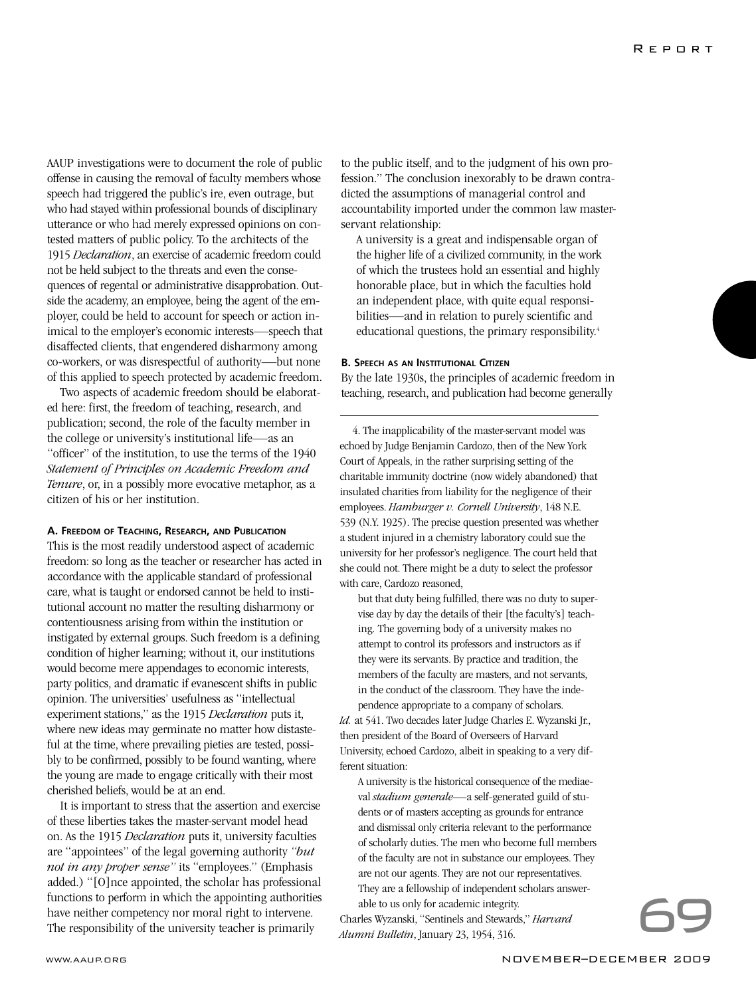AAUP investigations were to document the role of public offense in causing the removal of faculty members whose speech had triggered the public's ire, even outrage, but who had stayed within professional bounds of disciplinary utterance or who had merely expressed opinions on contested matters of public policy. To the architects of the 1915 *Declaration*, an exercise of academic freedom could not be held subject to the threats and even the consequences of regental or administrative disapprobation. Outside the academy, an employee, being the agent of the employer, could be held to account for speech or action inimical to the employer's economic interests—speech that disaffected clients, that engendered disharmony among co-workers, or was disrespectful of authority—but none of this applied to speech protected by academic freedom.

Two aspects of academic freedom should be elaborated here: first, the freedom of teaching, research, and publication; second, the role of the faculty member in the college or university's institutional life—as an "officer" of the institution, to use the terms of the 1940 *Statement of Principles on Academic Freedom and Tenure*, or, in a possibly more evocative metaphor, as a citizen of his or her institution.

### **A. FREEDOM OF TEACHING, RESEARCH, AND PUBLICATION**

This is the most readily understood aspect of academic freedom: so long as the teacher or researcher has acted in accordance with the applicable standard of professional care, what is taught or endorsed cannot be held to institutional account no matter the resulting disharmony or contentiousness arising from within the institution or instigated by external groups. Such freedom is a defining condition of higher learning; without it, our institutions would become mere appendages to economic interests, party politics, and dramatic if evanescent shifts in public opinion. The universities' usefulness as "intellectual experiment stations," as the 1915 *Declaration* puts it, where new ideas may germinate no matter how distasteful at the time, where prevailing pieties are tested, possibly to be confirmed, possibly to be found wanting, where the young are made to engage critically with their most cherished beliefs, would be at an end.

It is important to stress that the assertion and exercise of these liberties takes the master-servant model head on. As the 1915 *Declaration* puts it, university faculties are "appointees" of the legal governing authority *"but not in any proper sense"* its "employees." (Emphasis added.) "[O]nce appointed, the scholar has professional functions to perform in which the appointing authorities have neither competency nor moral right to intervene. The responsibility of the university teacher is primarily<br>
They are not our agents. They are not our representatives.<br>
The responsibility of the university teacher is primarily<br>
The responsibility of the university teacher

to the public itself, and to the judgment of his own profession." The conclusion inexorably to be drawn contradicted the assumptions of managerial control and accountability imported under the common law masterservant relationship:

A university is a great and indispensable organ of the higher life of a civilized community, in the work of which the trustees hold an essential and highly honorable place, but in which the faculties hold an independent place, with quite equal responsibilities—and in relation to purely scientific and educational questions, the primary responsibility.<sup>4</sup>

### **B. SPEECH AS AN INSTITUTIONAL CITIZEN**

By the late 1930s, the principles of academic freedom in teaching, research, and publication had become generally

4. The inapplicability of the master-servant model was echoed by Judge Benjamin Cardozo, then of the New York Court of Appeals, in the rather surprising setting of the charitable immunity doctrine (now widely abandoned) that insulated charities from liability for the negligence of their employees. *Hamburger v. Cornell University*, 148 N.E. 539 (N.Y. 1925). The precise question presented was whether a student injured in a chemistry laboratory could sue the university for her professor's negligence. The court held that she could not. There might be a duty to select the professor with care, Cardozo reasoned,

but that duty being fulfilled, there was no duty to supervise day by day the details of their [the faculty's] teaching. The governing body of a university makes no attempt to control its professors and instructors as if they were its servants. By practice and tradition, the members of the faculty are masters, and not servants, in the conduct of the classroom. They have the independence appropriate to a company of scholars.

*Id.* at 541. Two decades later Judge Charles E. Wyzanski Jr., then president of the Board of Overseers of Harvard University, echoed Cardozo, albeit in speaking to a very different situation:

A university is the historical consequence of the mediaeval *stadium generale*—a self-generated guild of students or of masters accepting as grounds for entrance and dismissal only criteria relevant to the performance of scholarly duties. The men who become full members of the faculty are not in substance our employees. They are not our agents. They are not our representatives. They are a fellowship of independent scholars answerable to us only for academic integrity.

Charles Wyzanski, "Sentinels and Stewards," *Harvard Alumni Bulletin*, January 23, 1954, 316.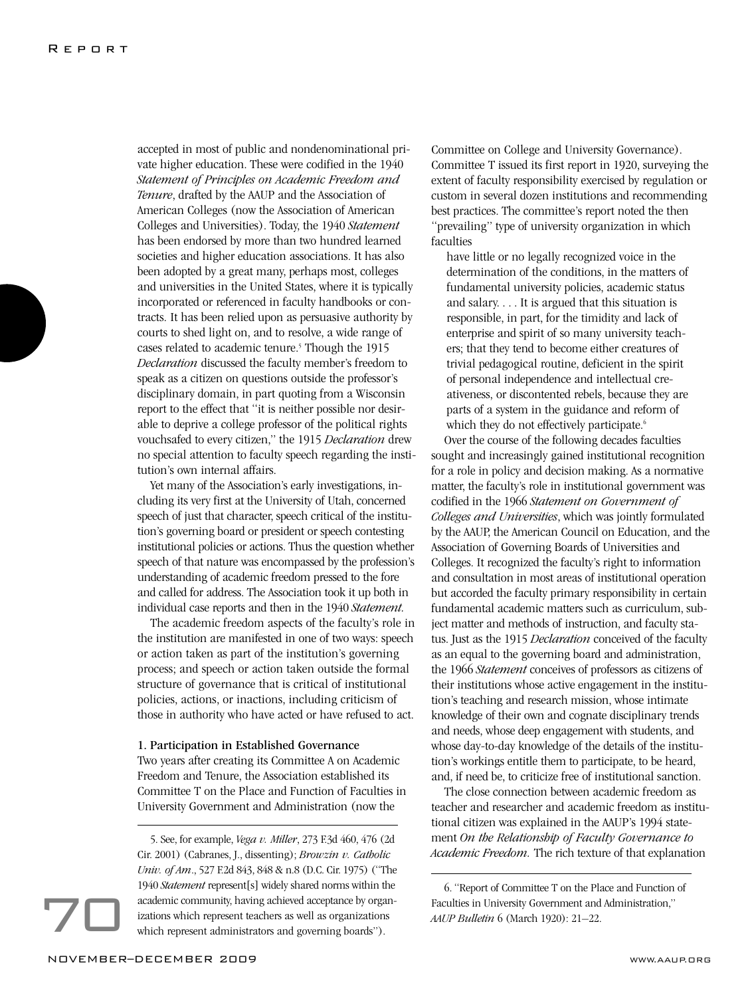accepted in most of public and nondenominational private higher education. These were codified in the 1940 *Statement of Principles on Academic Freedom and Tenure*, drafted by the AAUP and the Association of American Colleges (now the Association of American Colleges and Universities). Today, the 1940 *Statement* has been endorsed by more than two hundred learned societies and higher education associations. It has also been adopted by a great many, perhaps most, colleges and universities in the United States, where it is typically incorporated or referenced in faculty handbooks or contracts. It has been relied upon as persuasive authority by courts to shed light on, and to resolve, a wide range of cases related to academic tenure.<sup>5</sup> Though the 1915 *Declaration* discussed the faculty member's freedom to speak as a citizen on questions outside the professor's disciplinary domain, in part quoting from a Wisconsin report to the effect that "it is neither possible nor desirable to deprive a college professor of the political rights vouchsafed to every citizen," the 1915 *Declaration* drew no special attention to faculty speech regarding the institution's own internal affairs.

Yet many of the Association's early investigations, including its very first at the University of Utah, concerned speech of just that character, speech critical of the institution's governing board or president or speech contesting institutional policies or actions. Thus the question whether speech of that nature was encompassed by the profession's understanding of academic freedom pressed to the fore and called for address. The Association took it up both in individual case reports and then in the 1940 *Statement.*

The academic freedom aspects of the faculty's role in the institution are manifested in one of two ways: speech or action taken as part of the institution's governing process; and speech or action taken outside the formal structure of governance that is critical of institutional policies, actions, or inactions, including criticism of those in authority who have acted or have refused to act.

### 1. Participation in Established Governance

Two years after creating its Committee A on Academic Freedom and Tenure, the Association established its Committee T on the Place and Function of Faculties in University Government and Administration (now the

Committee on College and University Governance). Committee T issued its first report in 1920, surveying the extent of faculty responsibility exercised by regulation or custom in several dozen institutions and recommending best practices. The committee's report noted the then "prevailing" type of university organization in which faculties

have little or no legally recognized voice in the determination of the conditions, in the matters of fundamental university policies, academic status and salary. . . . It is argued that this situation is responsible, in part, for the timidity and lack of enterprise and spirit of so many university teachers; that they tend to become either creatures of trivial pedagogical routine, deficient in the spirit of personal independence and intellectual creativeness, or discontented rebels, because they are parts of a system in the guidance and reform of which they do not effectively participate.<sup>6</sup>

Over the course of the following decades faculties sought and increasingly gained institutional recognition for a role in policy and decision making. As a normative matter, the faculty's role in institutional government was codified in the 1966 *Statement on Government of Colleges and Universities*, which was jointly formulated by the AAUP, the American Council on Education, and the Association of Governing Boards of Universities and Colleges. It recognized the faculty's right to information and consultation in most areas of institutional operation but accorded the faculty primary responsibility in certain fundamental academic matters such as curriculum, subject matter and methods of instruction, and faculty status. Just as the 1915 *Declaration* conceived of the faculty as an equal to the governing board and administration, the 1966 *Statement* conceives of professors as citizens of their institutions whose active engagement in the institution's teaching and research mission, whose intimate knowledge of their own and cognate disciplinary trends and needs, whose deep engagement with students, and whose day-to-day knowledge of the details of the institution's workings entitle them to participate, to be heard, and, if need be, to criticize free of institutional sanction.

The close connection between academic freedom as teacher and researcher and academic freedom as institutional citizen was explained in the AAUP's 1994 statement *On the Relationship of Faculty Governance to Academic Freedom.* The rich texture of that explanation

<sup>5.</sup> See, for example, *Vega v. Miller*, 273 F.3d 460, 476 (2d Cir. 2001) (Cabranes, J., dissenting); *Browzin v. Catholic Univ. of Am*., 527 F.2d 843, 848 & n.8 (D.C. Cir. 1975) ("The 1940 *Statement* represent[s] widely shared norms within the academic community, having achieved acceptance by organizations which represent teachers as well as organizations which represent administrators and governing boards").

<sup>6. &</sup>quot;Report of Committee T on the Place and Function of Faculties in University Government and Administration," *AAUP Bulletin* 6 (March 1920): 21–22.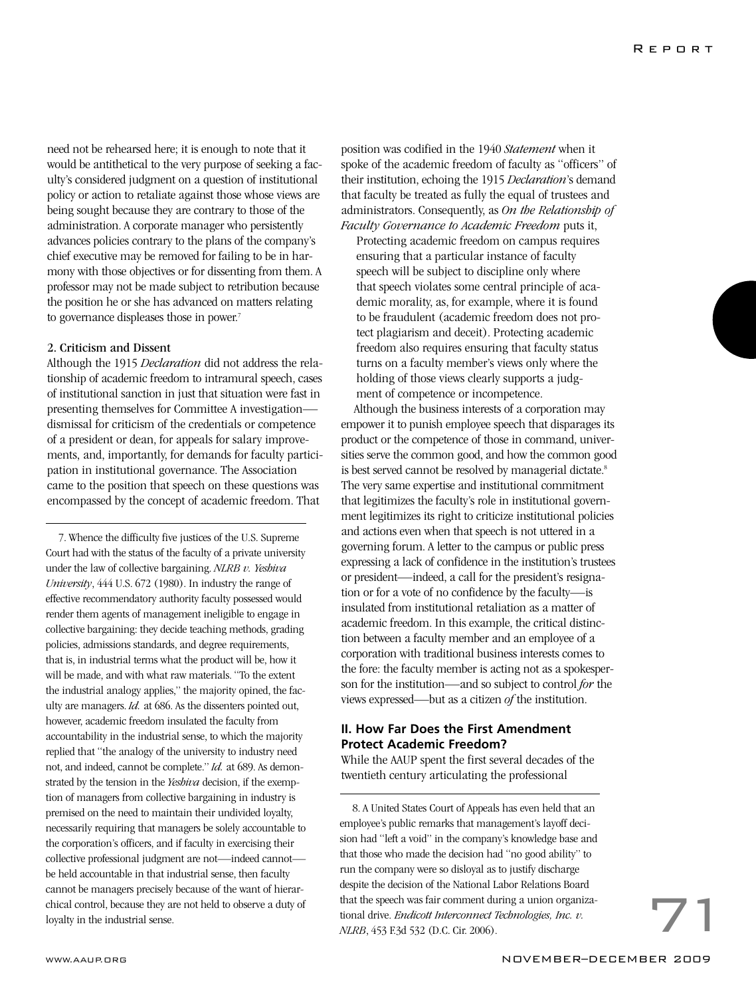need not be rehearsed here; it is enough to note that it would be antithetical to the very purpose of seeking a faculty's considered judgment on a question of institutional policy or action to retaliate against those whose views are being sought because they are contrary to those of the administration. A corporate manager who persistently advances policies contrary to the plans of the company's chief executive may be removed for failing to be in harmony with those objectives or for dissenting from them. A professor may not be made subject to retribution because the position he or she has advanced on matters relating to governance displeases those in power.<sup>7</sup>

### 2. Criticism and Dissent

Although the 1915 *Declaration* did not address the relationship of academic freedom to intramural speech, cases of institutional sanction in just that situation were fast in presenting themselves for Committee A investigation dismissal for criticism of the credentials or competence of a president or dean, for appeals for salary improvements, and, importantly, for demands for faculty participation in institutional governance. The Association came to the position that speech on these questions was encompassed by the concept of academic freedom. That

7. Whence the difficulty five justices of the U.S. Supreme Court had with the status of the faculty of a private university under the law of collective bargaining. *NLRB v. Yeshiva University*, 444 U.S. 672 (1980). In industry the range of effective recommendatory authority faculty possessed would render them agents of management ineligible to engage in collective bargaining: they decide teaching methods, grading policies, admissions standards, and degree requirements, that is, in industrial terms what the product will be, how it will be made, and with what raw materials. "To the extent the industrial analogy applies," the majority opined, the faculty are managers. *Id.* at 686. As the dissenters pointed out, however, academic freedom insulated the faculty from accountability in the industrial sense, to which the majority replied that "the analogy of the university to industry need not, and indeed, cannot be complete." *Id.* at 689. As demonstrated by the tension in the *Yeshiva* decision, if the exemption of managers from collective bargaining in industry is premised on the need to maintain their undivided loyalty, necessarily requiring that managers be solely accountable to the corporation's officers, and if faculty in exercising their collective professional judgment are not—indeed cannot be held accountable in that industrial sense, then faculty cannot be managers precisely because of the want of hierarchical control, because they are not held to observe a duty of loyalty in the industrial sense.

position was codified in the 1940 *Statement* when it spoke of the academic freedom of faculty as "officers" of their institution, echoing the 1915 *Declaration*'s demand that faculty be treated as fully the equal of trustees and administrators. Consequently, as *On the Relationship of Faculty Governance to Academic Freedom* puts it,

Protecting academic freedom on campus requires ensuring that a particular instance of faculty speech will be subject to discipline only where that speech violates some central principle of academic morality, as, for example, where it is found to be fraudulent (academic freedom does not protect plagiarism and deceit). Protecting academic freedom also requires ensuring that faculty status turns on a faculty member's views only where the holding of those views clearly supports a judgment of competence or incompetence.

Although the business interests of a corporation may empower it to punish employee speech that disparages its product or the competence of those in command, universities serve the common good, and how the common good is best served cannot be resolved by managerial dictate.<sup>8</sup> The very same expertise and institutional commitment that legitimizes the faculty's role in institutional government legitimizes its right to criticize institutional policies and actions even when that speech is not uttered in a governing forum. A letter to the campus or public press expressing a lack of confidence in the institution's trustees or president—indeed, a call for the president's resignation or for a vote of no confidence by the faculty—is insulated from institutional retaliation as a matter of academic freedom. In this example, the critical distinction between a faculty member and an employee of a corporation with traditional business interests comes to the fore: the faculty member is acting not as a spokesperson for the institution—and so subject to control *for* the views expressed—but as a citizen *of* the institution.

### **II. How Far Does the First Amendment Protect Academic Freedom?**

While the AAUP spent the first several decades of the twentieth century articulating the professional

8. A United States Court of Appeals has even held that an employee's public remarks that management's layoff decision had "left a void" in the company's knowledge base and that those who made the decision had "no good ability" to run the company were so disloyal as to justify discharge despite the decision of the National Labor Relations Board that the speech was fair comment during a union organizational drive. *Endicott Interconnect Technologies, Inc. v. NLRB*, 453 F.3d 532 (D.C. Cir. 2006).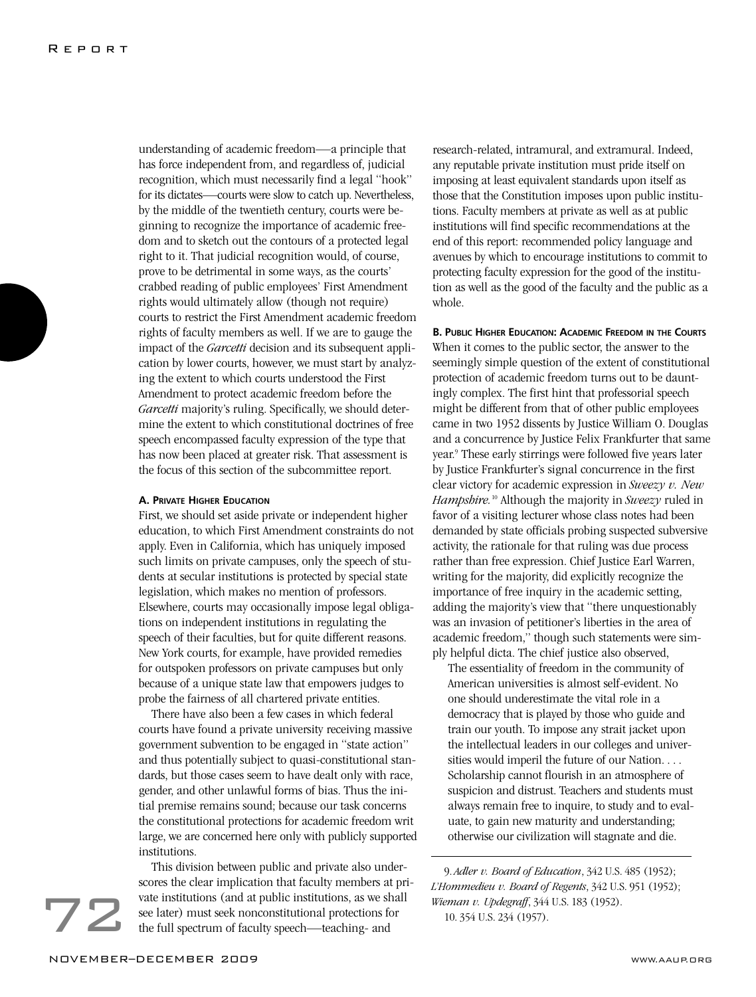understanding of academic freedom—a principle that has force independent from, and regardless of, judicial recognition, which must necessarily find a legal "hook" for its dictates—courts were slow to catch up. Nevertheless, by the middle of the twentieth century, courts were beginning to recognize the importance of academic freedom and to sketch out the contours of a protected legal right to it. That judicial recognition would, of course, prove to be detrimental in some ways, as the courts' crabbed reading of public employees' First Amendment rights would ultimately allow (though not require) courts to restrict the First Amendment academic freedom rights of faculty members as well. If we are to gauge the impact of the *Garcetti* decision and its subsequent application by lower courts, however, we must start by analyzing the extent to which courts understood the First Amendment to protect academic freedom before the *Garcetti* majority's ruling. Specifically, we should determine the extent to which constitutional doctrines of free speech encompassed faculty expression of the type that has now been placed at greater risk. That assessment is the focus of this section of the subcommittee report.

### **A. PRIVATE HIGHER EDUCATION**

First, we should set aside private or independent higher education, to which First Amendment constraints do not apply. Even in California, which has uniquely imposed such limits on private campuses, only the speech of students at secular institutions is protected by special state legislation, which makes no mention of professors. Elsewhere, courts may occasionally impose legal obligations on independent institutions in regulating the speech of their faculties, but for quite different reasons. New York courts, for example, have provided remedies for outspoken professors on private campuses but only because of a unique state law that empowers judges to probe the fairness of all chartered private entities.

There have also been a few cases in which federal courts have found a private university receiving massive government subvention to be engaged in "state action" and thus potentially subject to quasi-constitutional standards, but those cases seem to have dealt only with race, gender, and other unlawful forms of bias. Thus the initial premise remains sound; because our task concerns the constitutional protections for academic freedom writ large, we are concerned here only with publicly supported institutions.

This division between public and private also underscores the clear implication that faculty members at private institutions (and at public institutions, as we shall see later) must seek nonconstitutional protections for the full spectrum of faculty speech—teaching- and

research-related, intramural, and extramural. Indeed, any reputable private institution must pride itself on imposing at least equivalent standards upon itself as those that the Constitution imposes upon public institutions. Faculty members at private as well as at public institutions will find specific recommendations at the end of this report: recommended policy language and avenues by which to encourage institutions to commit to protecting faculty expression for the good of the institution as well as the good of the faculty and the public as a whole.

**B. PUBLIC HIGHER EDUCATION: ACADEMIC FREEDOM IN THE COURTS** When it comes to the public sector, the answer to the seemingly simple question of the extent of constitutional protection of academic freedom turns out to be dauntingly complex. The first hint that professorial speech might be different from that of other public employees came in two 1952 dissents by Justice William O. Douglas and a concurrence by Justice Felix Frankfurter that same year.9 These early stirrings were followed five years later by Justice Frankfurter's signal concurrence in the first clear victory for academic expression in *Sweezy v. New Hampshire.*<sup>10</sup> Although the majority in *Sweezy* ruled in favor of a visiting lecturer whose class notes had been demanded by state officials probing suspected subversive activity, the rationale for that ruling was due process rather than free expression. Chief Justice Earl Warren, writing for the majority, did explicitly recognize the importance of free inquiry in the academic setting, adding the majority's view that "there unquestionably was an invasion of petitioner's liberties in the area of academic freedom," though such statements were simply helpful dicta. The chief justice also observed,

The essentiality of freedom in the community of American universities is almost self-evident. No one should underestimate the vital role in a democracy that is played by those who guide and train our youth. To impose any strait jacket upon the intellectual leaders in our colleges and universities would imperil the future of our Nation. . . . Scholarship cannot flourish in an atmosphere of suspicion and distrust. Teachers and students must always remain free to inquire, to study and to evaluate, to gain new maturity and understanding; otherwise our civilization will stagnate and die.

9. *Adler v. Board of Education*, 342 U.S. 485 (1952); *L'Hommedieu v. Board of Regents*, 342 U.S. 951 (1952); *Wieman v. Updegraff*, 344 U.S. 183 (1952). 10. 354 U.S. 234 (1957).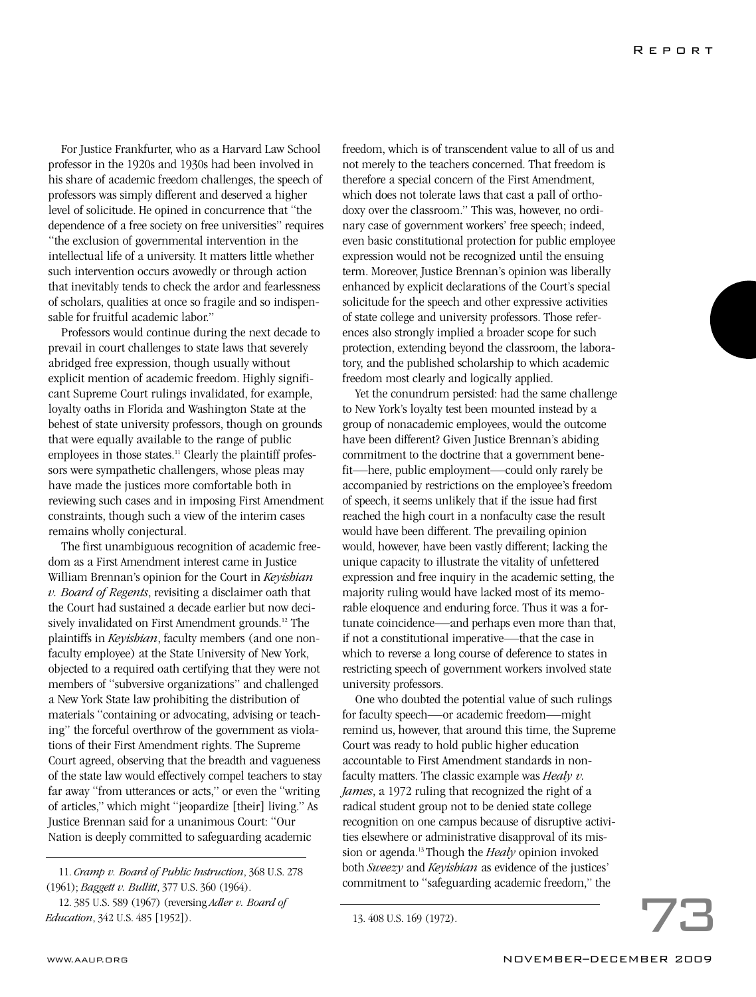For Justice Frankfurter, who as a Harvard Law School professor in the 1920s and 1930s had been involved in his share of academic freedom challenges, the speech of professors was simply different and deserved a higher level of solicitude. He opined in concurrence that "the dependence of a free society on free universities" requires "the exclusion of governmental intervention in the intellectual life of a university. It matters little whether such intervention occurs avowedly or through action that inevitably tends to check the ardor and fearlessness of scholars, qualities at once so fragile and so indispensable for fruitful academic labor."

Professors would continue during the next decade to prevail in court challenges to state laws that severely abridged free expression, though usually without explicit mention of academic freedom. Highly significant Supreme Court rulings invalidated, for example, loyalty oaths in Florida and Washington State at the behest of state university professors, though on grounds that were equally available to the range of public employees in those states.<sup>11</sup> Clearly the plaintiff professors were sympathetic challengers, whose pleas may have made the justices more comfortable both in reviewing such cases and in imposing First Amendment constraints, though such a view of the interim cases remains wholly conjectural.

The first unambiguous recognition of academic freedom as a First Amendment interest came in Justice William Brennan's opinion for the Court in *Keyishian v. Board of Regents*, revisiting a disclaimer oath that the Court had sustained a decade earlier but now decisively invalidated on First Amendment grounds.<sup>12</sup> The plaintiffs in *Keyishian*, faculty members (and one nonfaculty employee) at the State University of New York, objected to a required oath certifying that they were not members of "subversive organizations" and challenged a New York State law prohibiting the distribution of materials "containing or advocating, advising or teaching" the forceful overthrow of the government as violations of their First Amendment rights. The Supreme Court agreed, observing that the breadth and vagueness of the state law would effectively compel teachers to stay far away "from utterances or acts," or even the "writing of articles," which might "jeopardize [their] living." As Justice Brennan said for a unanimous Court: "Our Nation is deeply committed to safeguarding academic

freedom, which is of transcendent value to all of us and not merely to the teachers concerned. That freedom is therefore a special concern of the First Amendment, which does not tolerate laws that cast a pall of orthodoxy over the classroom." This was, however, no ordinary case of government workers' free speech; indeed, even basic constitutional protection for public employee expression would not be recognized until the ensuing term. Moreover, Justice Brennan's opinion was liberally enhanced by explicit declarations of the Court's special solicitude for the speech and other expressive activities of state college and university professors. Those references also strongly implied a broader scope for such protection, extending beyond the classroom, the laboratory, and the published scholarship to which academic freedom most clearly and logically applied.

Yet the conundrum persisted: had the same challenge to New York's loyalty test been mounted instead by a group of nonacademic employees, would the outcome have been different? Given Justice Brennan's abiding commitment to the doctrine that a government benefit—here, public employment—could only rarely be accompanied by restrictions on the employee's freedom of speech, it seems unlikely that if the issue had first reached the high court in a nonfaculty case the result would have been different. The prevailing opinion would, however, have been vastly different; lacking the unique capacity to illustrate the vitality of unfettered expression and free inquiry in the academic setting, the majority ruling would have lacked most of its memorable eloquence and enduring force. Thus it was a fortunate coincidence—and perhaps even more than that, if not a constitutional imperative—that the case in which to reverse a long course of deference to states in restricting speech of government workers involved state university professors.

One who doubted the potential value of such rulings for faculty speech—or academic freedom—might remind us, however, that around this time, the Supreme Court was ready to hold public higher education accountable to First Amendment standards in nonfaculty matters. The classic example was *Healy v. James*, a 1972 ruling that recognized the right of a radical student group not to be denied state college recognition on one campus because of disruptive activities elsewhere or administrative disapproval of its mission or agenda.13 Though the *Healy* opinion invoked both *Sweezy* and *Keyishian* as evidence of the justices' commitment to "safeguarding academic freedom," the

<sup>11.</sup> *Cramp v. Board of Public Instruction*, 368 U.S. 278 (1961); *Baggett v. Bullitt*, 377 U.S. 360 (1964).

<sup>12. 385</sup> U.S. 589 (1967) (reversing *Adler v. Board of Education*, 342 U.S. 485 [1952]).

<sup>13. 408</sup> U.S. 169 (1972).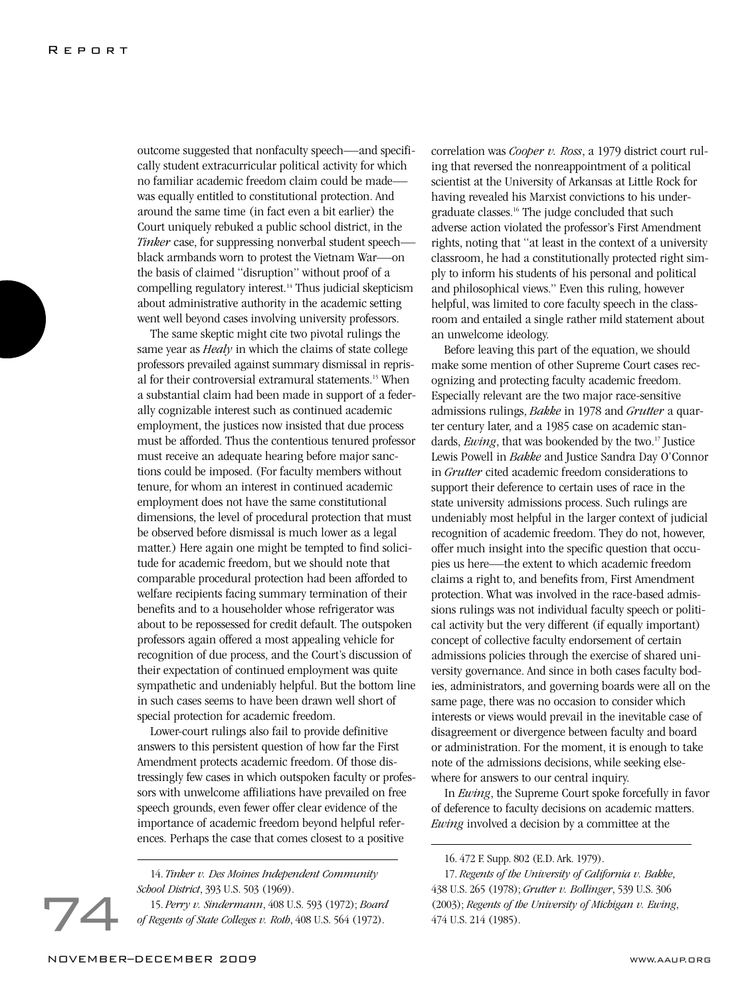outcome suggested that nonfaculty speech—and specifically student extracurricular political activity for which no familiar academic freedom claim could be made was equally entitled to constitutional protection. And around the same time (in fact even a bit earlier) the Court uniquely rebuked a public school district, in the *Tinker* case, for suppressing nonverbal student speech black armbands worn to protest the Vietnam War—on the basis of claimed "disruption" without proof of a compelling regulatory interest.<sup>14</sup> Thus judicial skepticism about administrative authority in the academic setting went well beyond cases involving university professors.

The same skeptic might cite two pivotal rulings the same year as *Healy* in which the claims of state college professors prevailed against summary dismissal in reprisal for their controversial extramural statements.15 When a substantial claim had been made in support of a federally cognizable interest such as continued academic employment, the justices now insisted that due process must be afforded. Thus the contentious tenured professor must receive an adequate hearing before major sanctions could be imposed. (For faculty members without tenure, for whom an interest in continued academic employment does not have the same constitutional dimensions, the level of procedural protection that must be observed before dismissal is much lower as a legal matter.) Here again one might be tempted to find solicitude for academic freedom, but we should note that comparable procedural protection had been afforded to welfare recipients facing summary termination of their benefits and to a householder whose refrigerator was about to be repossessed for credit default. The outspoken professors again offered a most appealing vehicle for recognition of due process, and the Court's discussion of their expectation of continued employment was quite sympathetic and undeniably helpful. But the bottom line in such cases seems to have been drawn well short of special protection for academic freedom.

Lower-court rulings also fail to provide definitive answers to this persistent question of how far the First Amendment protects academic freedom. Of those distressingly few cases in which outspoken faculty or professors with unwelcome affiliations have prevailed on free speech grounds, even fewer offer clear evidence of the importance of academic freedom beyond helpful references. Perhaps the case that comes closest to a positive

15. *Perry v. Sindermann*, 408 U.S. 593 (1972); *Board of Regents of State Colleges v. Roth*, 408 U.S. 564 (1972).

correlation was *Cooper v. Ross*, a 1979 district court ruling that reversed the nonreappointment of a political scientist at the University of Arkansas at Little Rock for having revealed his Marxist convictions to his undergraduate classes.16 The judge concluded that such adverse action violated the professor's First Amendment rights, noting that "at least in the context of a university classroom, he had a constitutionally protected right simply to inform his students of his personal and political and philosophical views." Even this ruling, however helpful, was limited to core faculty speech in the classroom and entailed a single rather mild statement about an unwelcome ideology.

Before leaving this part of the equation, we should make some mention of other Supreme Court cases recognizing and protecting faculty academic freedom. Especially relevant are the two major race-sensitive admissions rulings, *Bakke* in 1978 and *Grutter* a quarter century later, and a 1985 case on academic standards, *Ewing*, that was bookended by the two.<sup>17</sup> Justice Lewis Powell in *Bakke* and Justice Sandra Day O'Connor in *Grutter* cited academic freedom considerations to support their deference to certain uses of race in the state university admissions process. Such rulings are undeniably most helpful in the larger context of judicial recognition of academic freedom. They do not, however, offer much insight into the specific question that occupies us here—the extent to which academic freedom claims a right to, and benefits from, First Amendment protection. What was involved in the race-based admissions rulings was not individual faculty speech or political activity but the very different (if equally important) concept of collective faculty endorsement of certain admissions policies through the exercise of shared university governance. And since in both cases faculty bodies, administrators, and governing boards were all on the same page, there was no occasion to consider which interests or views would prevail in the inevitable case of disagreement or divergence between faculty and board or administration. For the moment, it is enough to take note of the admissions decisions, while seeking elsewhere for answers to our central inquiry.

In *Ewing*, the Supreme Court spoke forcefully in favor of deference to faculty decisions on academic matters. *Ewing* involved a decision by a committee at the

<sup>14.</sup> *Tinker v. Des Moines Independent Community School District*, 393 U.S. 503 (1969).

<sup>16. 472</sup> F. Supp. 802 (E.D. Ark. 1979).

<sup>17.</sup> *Regents of the University of California v. Bakke*, 438 U.S. 265 (1978); *Grutter v. Bollinger*, 539 U.S. 306 (2003); *Regents of the University of Michigan v. Ewing*, 474 U.S. 214 (1985).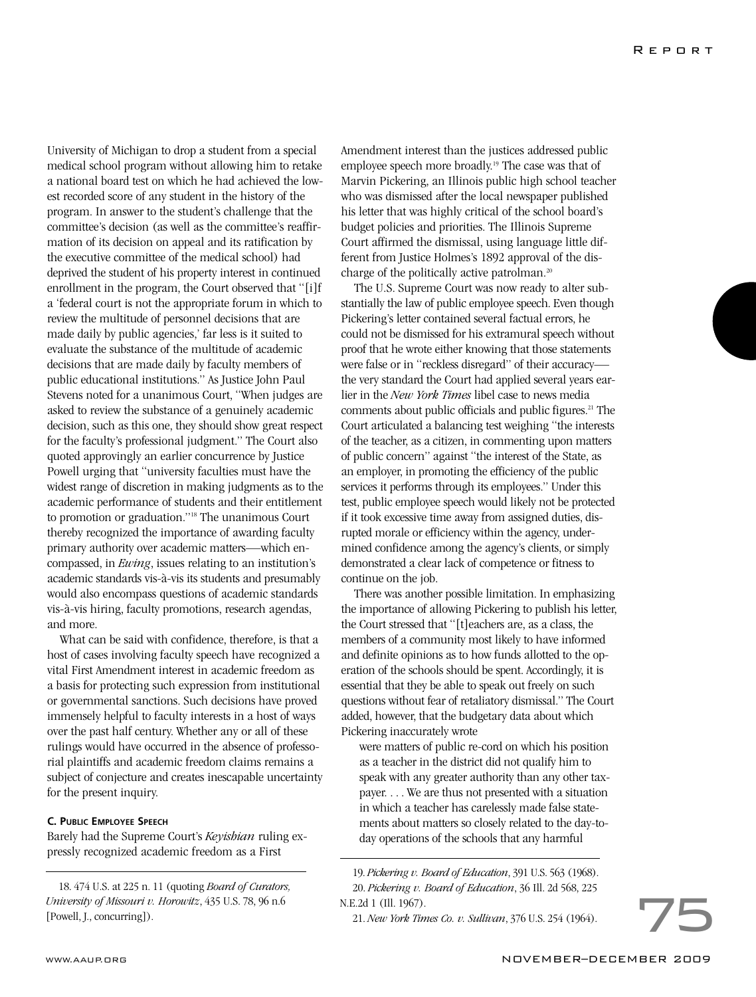University of Michigan to drop a student from a special medical school program without allowing him to retake a national board test on which he had achieved the lowest recorded score of any student in the history of the program. In answer to the student's challenge that the committee's decision (as well as the committee's reaffirmation of its decision on appeal and its ratification by the executive committee of the medical school) had deprived the student of his property interest in continued enrollment in the program, the Court observed that "[i]f a 'federal court is not the appropriate forum in which to review the multitude of personnel decisions that are made daily by public agencies,' far less is it suited to evaluate the substance of the multitude of academic decisions that are made daily by faculty members of public educational institutions." As Justice John Paul Stevens noted for a unanimous Court, "When judges are asked to review the substance of a genuinely academic decision, such as this one, they should show great respect for the faculty's professional judgment." The Court also quoted approvingly an earlier concurrence by Justice Powell urging that "university faculties must have the widest range of discretion in making judgments as to the academic performance of students and their entitlement to promotion or graduation."18 The unanimous Court thereby recognized the importance of awarding faculty primary authority over academic matters—which encompassed, in *Ewing*, issues relating to an institution's academic standards vis-à-vis its students and presumably would also encompass questions of academic standards vis-à-vis hiring, faculty promotions, research agendas, and more.

What can be said with confidence, therefore, is that a host of cases involving faculty speech have recognized a vital First Amendment interest in academic freedom as a basis for protecting such expression from institutional or governmental sanctions. Such decisions have proved immensely helpful to faculty interests in a host of ways over the past half century. Whether any or all of these rulings would have occurred in the absence of professorial plaintiffs and academic freedom claims remains a subject of conjecture and creates inescapable uncertainty for the present inquiry.

### **C. PUBLIC EMPLOYEE SPEECH**

Barely had the Supreme Court's *Keyishian* ruling expressly recognized academic freedom as a First

18. 474 U.S. at 225 n. 11 (quoting *Board of Curators, University of Missouri v. Horowitz*, 435 U.S. 78, 96 n.6 [Powell, J., concurring]).

Amendment interest than the justices addressed public employee speech more broadly.<sup>19</sup> The case was that of Marvin Pickering, an Illinois public high school teacher who was dismissed after the local newspaper published his letter that was highly critical of the school board's budget policies and priorities. The Illinois Supreme Court affirmed the dismissal, using language little different from Justice Holmes's 1892 approval of the discharge of the politically active patrolman.<sup>20</sup>

The U.S. Supreme Court was now ready to alter substantially the law of public employee speech. Even though Pickering's letter contained several factual errors, he could not be dismissed for his extramural speech without proof that he wrote either knowing that those statements were false or in "reckless disregard" of their accuracy the very standard the Court had applied several years earlier in the *New York Times* libel case to news media comments about public officials and public figures.<sup>21</sup> The Court articulated a balancing test weighing "the interests of the teacher, as a citizen, in commenting upon matters of public concern" against "the interest of the State, as an employer, in promoting the efficiency of the public services it performs through its employees." Under this test, public employee speech would likely not be protected if it took excessive time away from assigned duties, disrupted morale or efficiency within the agency, undermined confidence among the agency's clients, or simply demonstrated a clear lack of competence or fitness to continue on the job.

There was another possible limitation. In emphasizing the importance of allowing Pickering to publish his letter, the Court stressed that "[t]eachers are, as a class, the members of a community most likely to have informed and definite opinions as to how funds allotted to the operation of the schools should be spent. Accordingly, it is essential that they be able to speak out freely on such questions without fear of retaliatory dismissal." The Court added, however, that the budgetary data about which Pickering inaccurately wrote

were matters of public re-cord on which his position as a teacher in the district did not qualify him to speak with any greater authority than any other taxpayer. . . . We are thus not presented with a situation in which a teacher has carelessly made false statements about matters so closely related to the day-today operations of the schools that any harmful

21. *New York Times Co. v. Sullivan*, 376 U.S. 254 (1964).

<sup>19.</sup> *Pickering v. Board of Education*, 391 U.S. 563 (1968). 20. *Pickering v. Board of Education*, 36 Ill. 2d 568, 225 N.E.2d 1 (Ill. 1967).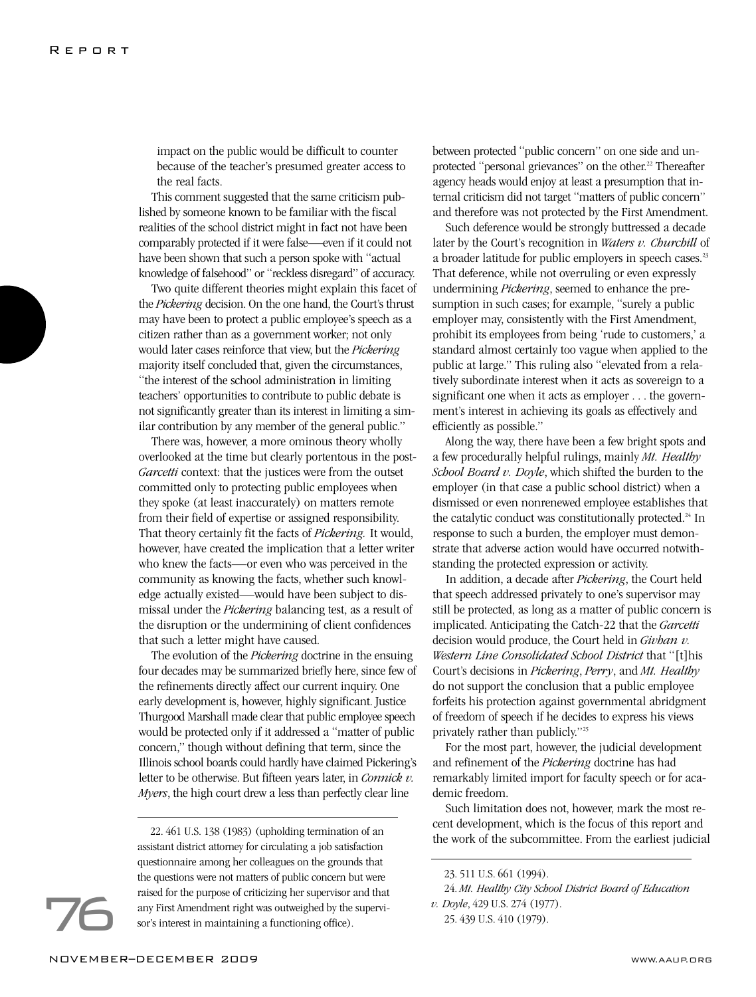impact on the public would be difficult to counter because of the teacher's presumed greater access to the real facts.

This comment suggested that the same criticism published by someone known to be familiar with the fiscal realities of the school district might in fact not have been comparably protected if it were false—even if it could not have been shown that such a person spoke with "actual knowledge of falsehood" or "reckless disregard" of accuracy.

Two quite different theories might explain this facet of the Pickering decision. On the one hand, the Court's thrust may have been to protect a public employee's speech as a citizen rather than as a government worker; not only would later cases reinforce that view, but the *Pickering* majority itself concluded that, given the circumstances, "the interest of the school administration in limiting teachers' opportunities to contribute to public debate is not significantly greater than its interest in limiting a similar contribution by any member of the general public."

There was, however, a more ominous theory wholly overlooked at the time but clearly portentous in the post-*Garcetti* context: that the justices were from the outset committed only to protecting public employees when they spoke (at least inaccurately) on matters remote from their field of expertise or assigned responsibility. That theory certainly fit the facts of *Pickering.* It would, however, have created the implication that a letter writer who knew the facts—or even who was perceived in the community as knowing the facts, whether such knowledge actually existed—would have been subject to dismissal under the *Pickering* balancing test, as a result of the disruption or the undermining of client confidences that such a letter might have caused.

The evolution of the *Pickering* doctrine in the ensuing four decades may be summarized briefly here, since few of the refinements directly affect our current inquiry. One early development is, however, highly significant. Justice Thurgood Marshall made clear that public employee speech would be protected only if it addressed a "matter of public concern," though without defining that term, since the Illinois school boards could hardly have claimed Pickering's letter to be otherwise. But fifteen years later, in *Connick v. Myers*, the high court drew a less than perfectly clear line

22. 461 U.S. 138 (1983) (upholding termination of an assistant district attorney for circulating a job satisfaction questionnaire among her colleagues on the grounds that the questions were not matters of public concern but were raised for the purpose of criticizing her supervisor and that any First Amendment right was outweighed by the supervisor's interest in maintaining a functioning office).

between protected "public concern" on one side and unprotected "personal grievances" on the other.<sup>22</sup> Thereafter agency heads would enjoy at least a presumption that internal criticism did not target "matters of public concern" and therefore was not protected by the First Amendment.

Such deference would be strongly buttressed a decade later by the Court's recognition in *Waters v. Churchill* of a broader latitude for public employers in speech cases.<sup>23</sup> That deference, while not overruling or even expressly undermining *Pickering*, seemed to enhance the presumption in such cases; for example, "surely a public employer may, consistently with the First Amendment, prohibit its employees from being 'rude to customers,' a standard almost certainly too vague when applied to the public at large." This ruling also "elevated from a relatively subordinate interest when it acts as sovereign to a significant one when it acts as employer . . . the government's interest in achieving its goals as effectively and efficiently as possible."

Along the way, there have been a few bright spots and a few procedurally helpful rulings, mainly *Mt. Healthy School Board v. Doyle*, which shifted the burden to the employer (in that case a public school district) when a dismissed or even nonrenewed employee establishes that the catalytic conduct was constitutionally protected.<sup>24</sup> In response to such a burden, the employer must demonstrate that adverse action would have occurred notwithstanding the protected expression or activity.

In addition, a decade after *Pickering*, the Court held that speech addressed privately to one's supervisor may still be protected, as long as a matter of public concern is implicated. Anticipating the Catch-22 that the *Garcetti* decision would produce, the Court held in *Givhan v. Western Line Consolidated School District* that "[t]his Court's decisions in *Pickering*, *Perry*, and *Mt. Healthy* do not support the conclusion that a public employee forfeits his protection against governmental abridgment of freedom of speech if he decides to express his views privately rather than publicly."25

For the most part, however, the judicial development and refinement of the *Pickering* doctrine has had remarkably limited import for faculty speech or for academic freedom.

Such limitation does not, however, mark the most recent development, which is the focus of this report and the work of the subcommittee. From the earliest judicial

<sup>23. 511</sup> U.S. 661 (1994).

<sup>24.</sup> *Mt. Healthy City School District Board of Education v. Doyle*, 429 U.S. 274 (1977).

<sup>25. 439</sup> U.S. 410 (1979).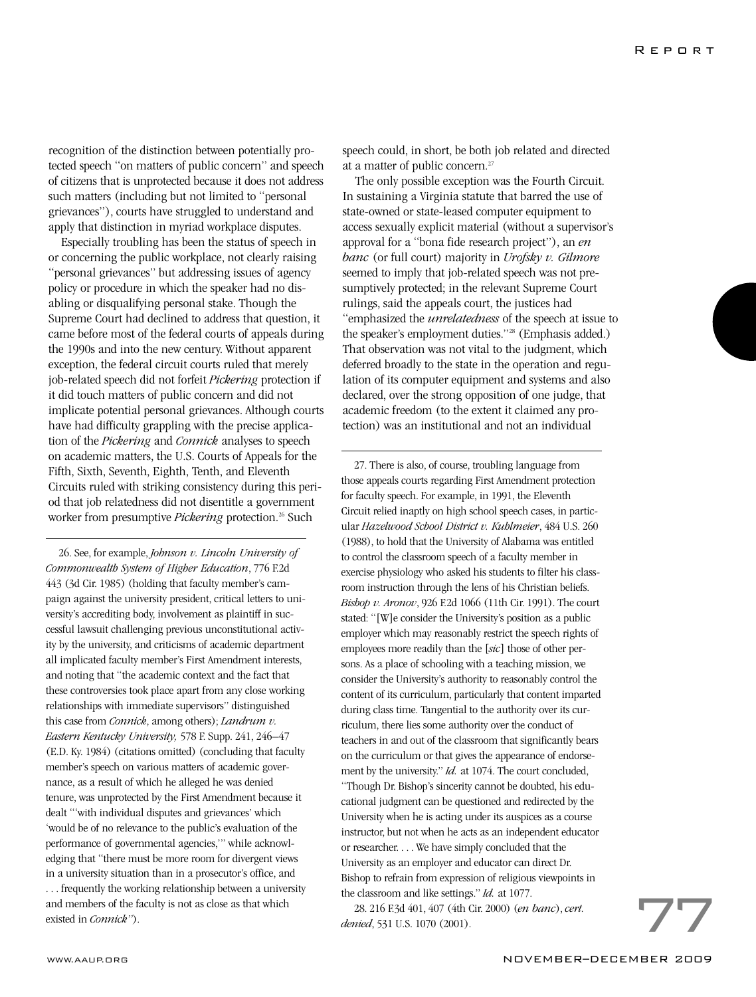recognition of the distinction between potentially protected speech "on matters of public concern" and speech of citizens that is unprotected because it does not address such matters (including but not limited to "personal grievances"), courts have struggled to understand and apply that distinction in myriad workplace disputes.

Especially troubling has been the status of speech in or concerning the public workplace, not clearly raising "personal grievances" but addressing issues of agency policy or procedure in which the speaker had no disabling or disqualifying personal stake. Though the Supreme Court had declined to address that question, it came before most of the federal courts of appeals during the 1990s and into the new century. Without apparent exception, the federal circuit courts ruled that merely job-related speech did not forfeit *Pickering* protection if it did touch matters of public concern and did not implicate potential personal grievances. Although courts have had difficulty grappling with the precise application of the *Pickering* and *Connick* analyses to speech on academic matters, the U.S. Courts of Appeals for the Fifth, Sixth, Seventh, Eighth, Tenth, and Eleventh Circuits ruled with striking consistency during this period that job relatedness did not disentitle a government worker from presumptive *Pickering* protection.<sup>26</sup> Such

26. See, for example, *Johnson v. Lincoln University of Commonwealth System of Higher Education*, 776 F.2d 443 (3d Cir. 1985) (holding that faculty member's campaign against the university president, critical letters to university's accrediting body, involvement as plaintiff in successful lawsuit challenging previous unconstitutional activity by the university, and criticisms of academic department all implicated faculty member's First Amendment interests, and noting that "the academic context and the fact that these controversies took place apart from any close working relationships with immediate supervisors" distinguished this case from *Connick*, among others); *Landrum v. Eastern Kentucky University,* 578 F. Supp. 241, 246–47 (E.D. Ky. 1984) (citations omitted) (concluding that faculty member's speech on various matters of academic governance, as a result of which he alleged he was denied tenure, was unprotected by the First Amendment because it dealt "'with individual disputes and grievances' which 'would be of no relevance to the public's evaluation of the performance of governmental agencies,'" while acknowledging that "there must be more room for divergent views in a university situation than in a prosecutor's office, and . . . frequently the working relationship between a university and members of the faculty is not as close as that which existed in *Connick"*).

speech could, in short, be both job related and directed at a matter of public concern.27

The only possible exception was the Fourth Circuit. In sustaining a Virginia statute that barred the use of state-owned or state-leased computer equipment to access sexually explicit material (without a supervisor's approval for a "bona fide research project"), an *en banc* (or full court) majority in *Urofsky v. Gilmore* seemed to imply that job-related speech was not presumptively protected; in the relevant Supreme Court rulings, said the appeals court, the justices had "emphasized the *unrelatedness* of the speech at issue to the speaker's employment duties."28 (Emphasis added.) That observation was not vital to the judgment, which deferred broadly to the state in the operation and regulation of its computer equipment and systems and also declared, over the strong opposition of one judge, that academic freedom (to the extent it claimed any protection) was an institutional and not an individual

27. There is also, of course, troubling language from those appeals courts regarding First Amendment protection for faculty speech. For example, in 1991, the Eleventh Circuit relied inaptly on high school speech cases, in particular *Hazelwood School District v. Kuhlmeier*, 484 U.S. 260 (1988), to hold that the University of Alabama was entitled to control the classroom speech of a faculty member in exercise physiology who asked his students to filter his classroom instruction through the lens of his Christian beliefs. *Bishop v. Aronov*, 926 F.2d 1066 (11th Cir. 1991). The court stated: "[W]e consider the University's position as a public employer which may reasonably restrict the speech rights of employees more readily than the [*sic*] those of other persons. As a place of schooling with a teaching mission, we consider the University's authority to reasonably control the content of its curriculum, particularly that content imparted during class time. Tangential to the authority over its curriculum, there lies some authority over the conduct of teachers in and out of the classroom that significantly bears on the curriculum or that gives the appearance of endorsement by the university." *Id.* at 1074. The court concluded, "Though Dr. Bishop's sincerity cannot be doubted, his educational judgment can be questioned and redirected by the University when he is acting under its auspices as a course instructor, but not when he acts as an independent educator or researcher. . . . We have simply concluded that the University as an employer and educator can direct Dr. Bishop to refrain from expression of religious viewpoints in the classroom and like settings." *Id.* at 1077.

28. 216 F.3d 401, 407 (4th Cir. 2000) (*en banc*), *cert. denied*, 531 U.S. 1070 (2001).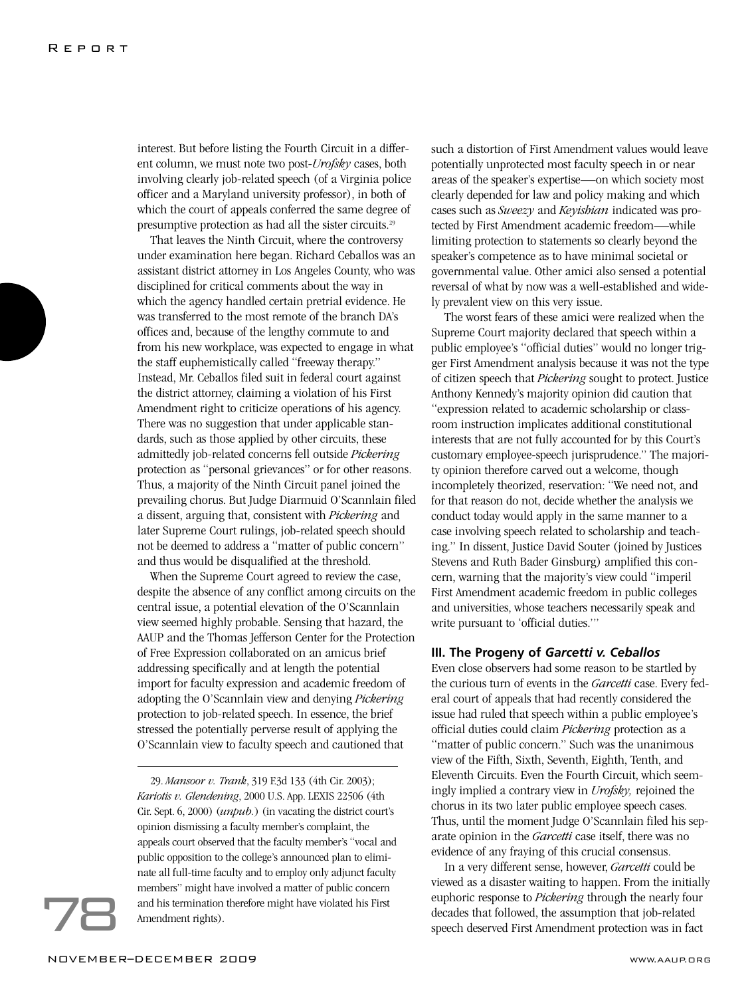interest. But before listing the Fourth Circuit in a different column, we must note two post-*Urofsky* cases, both involving clearly job-related speech (of a Virginia police officer and a Maryland university professor), in both of which the court of appeals conferred the same degree of presumptive protection as had all the sister circuits.29

That leaves the Ninth Circuit, where the controversy under examination here began. Richard Ceballos was an assistant district attorney in Los Angeles County, who was disciplined for critical comments about the way in which the agency handled certain pretrial evidence. He was transferred to the most remote of the branch DA's offices and, because of the lengthy commute to and from his new workplace, was expected to engage in what the staff euphemistically called "freeway therapy." Instead, Mr. Ceballos filed suit in federal court against the district attorney, claiming a violation of his First Amendment right to criticize operations of his agency. There was no suggestion that under applicable standards, such as those applied by other circuits, these admittedly job-related concerns fell outside *Pickering* protection as "personal grievances" or for other reasons. Thus, a majority of the Ninth Circuit panel joined the prevailing chorus. But Judge Diarmuid O'Scannlain filed a dissent, arguing that, consistent with *Pickering* and later Supreme Court rulings, job-related speech should not be deemed to address a "matter of public concern" and thus would be disqualified at the threshold.

When the Supreme Court agreed to review the case, despite the absence of any conflict among circuits on the central issue, a potential elevation of the O'Scannlain view seemed highly probable. Sensing that hazard, the AAUP and the Thomas Jefferson Center for the Protection of Free Expression collaborated on an amicus brief addressing specifically and at length the potential import for faculty expression and academic freedom of adopting the O'Scannlain view and denying *Pickering* protection to job-related speech. In essence, the brief stressed the potentially perverse result of applying the O'Scannlain view to faculty speech and cautioned that

29. *Mansoor v. Trank*, 319 F.3d 133 (4th Cir. 2003); *Kariotis v. Glendening*, 2000 U.S. App. LEXIS 22506 (4th Cir. Sept. 6, 2000) (*unpub.*) (in vacating the district court's opinion dismissing a faculty member's complaint, the appeals court observed that the faculty member's "vocal and public opposition to the college's announced plan to eliminate all full-time faculty and to employ only adjunct faculty members" might have involved a matter of public concern and his termination therefore might have violated his First Amendment rights).

such a distortion of First Amendment values would leave potentially unprotected most faculty speech in or near areas of the speaker's expertise—on which society most clearly depended for law and policy making and which cases such as *Sweezy* and *Keyishian* indicated was protected by First Amendment academic freedom—while limiting protection to statements so clearly beyond the speaker's competence as to have minimal societal or governmental value. Other amici also sensed a potential reversal of what by now was a well-established and widely prevalent view on this very issue.

The worst fears of these amici were realized when the Supreme Court majority declared that speech within a public employee's "official duties" would no longer trigger First Amendment analysis because it was not the type of citizen speech that *Pickering* sought to protect. Justice Anthony Kennedy's majority opinion did caution that "expression related to academic scholarship or classroom instruction implicates additional constitutional interests that are not fully accounted for by this Court's customary employee-speech jurisprudence." The majority opinion therefore carved out a welcome, though incompletely theorized, reservation: "We need not, and for that reason do not, decide whether the analysis we conduct today would apply in the same manner to a case involving speech related to scholarship and teaching." In dissent, Justice David Souter (joined by Justices Stevens and Ruth Bader Ginsburg) amplified this concern, warning that the majority's view could "imperil First Amendment academic freedom in public colleges and universities, whose teachers necessarily speak and write pursuant to 'official duties.'"

### **III. The Progeny of** *Garcetti v. Ceballos*

Even close observers had some reason to be startled by the curious turn of events in the *Garcetti* case. Every federal court of appeals that had recently considered the issue had ruled that speech within a public employee's official duties could claim *Pickering* protection as a "matter of public concern." Such was the unanimous view of the Fifth, Sixth, Seventh, Eighth, Tenth, and Eleventh Circuits. Even the Fourth Circuit, which seemingly implied a contrary view in *Urofsky,* rejoined the chorus in its two later public employee speech cases. Thus, until the moment Judge O'Scannlain filed his separate opinion in the *Garcetti* case itself, there was no evidence of any fraying of this crucial consensus.

In a very different sense, however, *Garcetti* could be viewed as a disaster waiting to happen. From the initially euphoric response to *Pickering* through the nearly four decades that followed, the assumption that job-related speech deserved First Amendment protection was in fact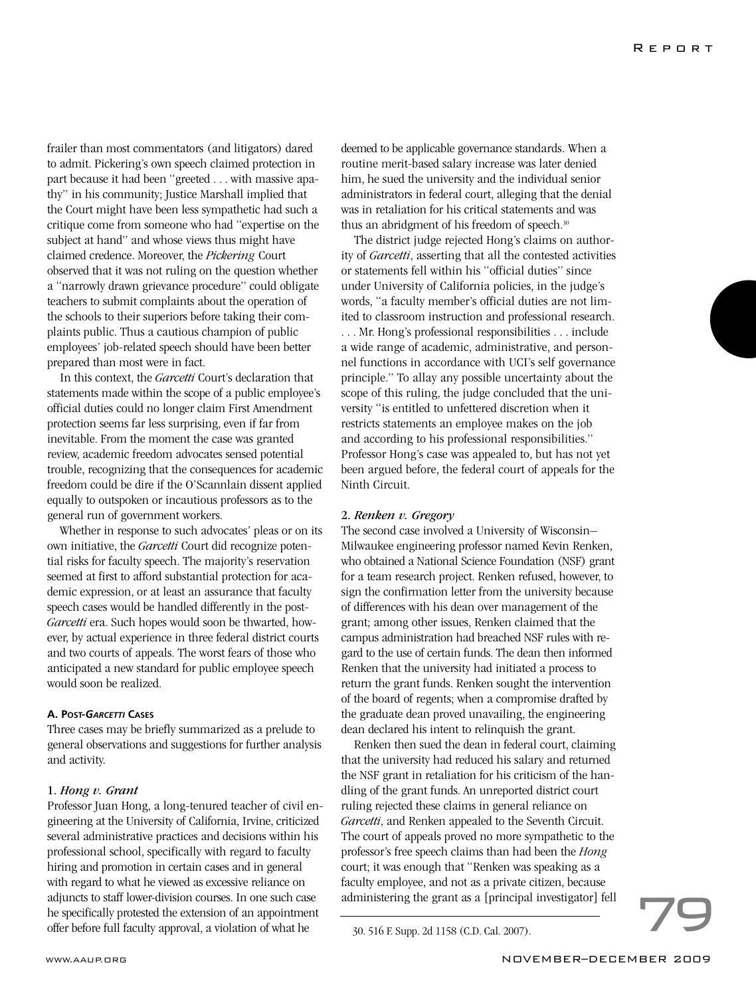frailer than most commentators (and litigators) dared to admit. Pickering's own speech claimed protection in part because it had been "greeted . . . with massive apathy" in his community; Justice Marshall implied that the Court might have been less sympathetic had such a critique come from someone who had "expertise on the subject at hand" and whose views thus might have claimed credence. Moreover, the *Pickering* Court observed that it was not ruling on the question whether a "narrowly drawn grievance procedure" could obligate teachers to submit complaints about the operation of the schools to their superiors before taking their complaints public. Thus a cautious champion of public employees' job-related speech should have been better prepared than most were in fact.

In this context, the *Garcetti* Court's declaration that statements made within the scope of a public employee's official duties could no longer claim First Amendment protection seems far less surprising, even if far from inevitable. From the moment the case was granted review, academic freedom advocates sensed potential trouble, recognizing that the consequences for academic freedom could be dire if the O'Scannlain dissent applied equally to outspoken or incautious professors as to the general run of government workers.

Whether in response to such advocates' pleas or on its own initiative, the *Garcetti* Court did recognize potential risks for faculty speech. The majority's reservation seemed at first to afford substantial protection for academic expression, or at least an assurance that faculty speech cases would be handled differently in the post-*Garcetti* era. Such hopes would soon be thwarted, however, by actual experience in three federal district courts and two courts of appeals. The worst fears of those who anticipated a new standard for public employee speech would soon be realized.

### **A. POST-***GARCETTI* **CASES**

Three cases may be briefly summarized as a prelude to general observations and suggestions for further analysis and activity.

1. *Hong v. Grant*  Professor Juan Hong, a long-tenured teacher of civil engineering at the University of California, Irvine, criticized several administrative practices and decisions within his professional school, specifically with regard to faculty hiring and promotion in certain cases and in general with regard to what he viewed as excessive reliance on adjuncts to staff lower-division courses. In one such case he specifically protested the extension of an appointment offer before full faculty approval, a violation of what he 30. 516 F. Supp. 2d 1158 (C.D. Cal. 2007).

deemed to be applicable governance standards. When a routine merit-based salary increase was later denied him, he sued the university and the individual senior administrators in federal court, alleging that the denial was in retaliation for his critical statements and was thus an abridgment of his freedom of speech.<sup>30</sup>

The district judge rejected Hong's claims on authority of *Garcetti*, asserting that all the contested activities or statements fell within his "official duties" since under University of California policies, in the judge's words, "a faculty member's official duties are not limited to classroom instruction and professional research. . . . Mr. Hong's professional responsibilities . . . include a wide range of academic, administrative, and personnel functions in accordance with UCI's self governance principle." To allay any possible uncertainty about the scope of this ruling, the judge concluded that the university "is entitled to unfettered discretion when it restricts statements an employee makes on the job and according to his professional responsibilities." Professor Hong's case was appealed to, but has not yet been argued before, the federal court of appeals for the Ninth Circuit.

2. *Renken v. Gregory*  The second case involved a University of Wisconsin– Milwaukee engineering professor named Kevin Renken, who obtained a National Science Foundation (NSF) grant for a team research project. Renken refused, however, to sign the confirmation letter from the university because of differences with his dean over management of the grant; among other issues, Renken claimed that the campus administration had breached NSF rules with regard to the use of certain funds. The dean then informed Renken that the university had initiated a process to return the grant funds. Renken sought the intervention of the board of regents; when a compromise drafted by the graduate dean proved unavailing, the engineering dean declared his intent to relinquish the grant.

Renken then sued the dean in federal court, claiming that the university had reduced his salary and returned the NSF grant in retaliation for his criticism of the handling of the grant funds. An unreported district court ruling rejected these claims in general reliance on *Garcetti*, and Renken appealed to the Seventh Circuit. The court of appeals proved no more sympathetic to the professor's free speech claims than had been the *Hong* court; it was enough that "Renken was speaking as a Faculty employee, and not as a private citizen, because<br>administering the grant as a [principal investigator] fell<br>20.516 F Sump 2d 1158 (C D Col. 2007)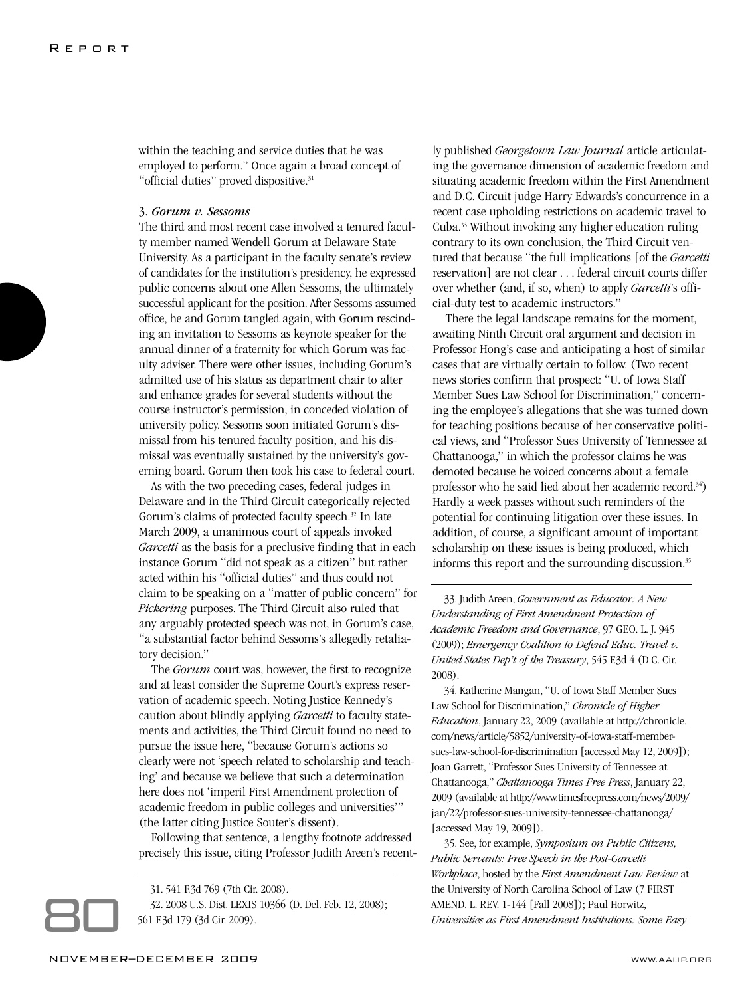within the teaching and service duties that he was employed to perform." Once again a broad concept of "official duties" proved dispositive.<sup>31</sup>

### 3. *Gorum v. Sessoms*

The third and most recent case involved a tenured faculty member named Wendell Gorum at Delaware State University. As a participant in the faculty senate's review of candidates for the institution's presidency, he expressed public concerns about one Allen Sessoms, the ultimately successful applicant for the position. After Sessoms assumed office, he and Gorum tangled again, with Gorum rescinding an invitation to Sessoms as keynote speaker for the annual dinner of a fraternity for which Gorum was faculty adviser. There were other issues, including Gorum's admitted use of his status as department chair to alter and enhance grades for several students without the course instructor's permission, in conceded violation of university policy. Sessoms soon initiated Gorum's dismissal from his tenured faculty position, and his dismissal was eventually sustained by the university's governing board. Gorum then took his case to federal court.

As with the two preceding cases, federal judges in Delaware and in the Third Circuit categorically rejected Gorum's claims of protected faculty speech.<sup>32</sup> In late March 2009, a unanimous court of appeals invoked *Garcetti* as the basis for a preclusive finding that in each instance Gorum "did not speak as a citizen" but rather acted within his "official duties" and thus could not claim to be speaking on a "matter of public concern" for *Pickering* purposes. The Third Circuit also ruled that any arguably protected speech was not, in Gorum's case, "a substantial factor behind Sessoms's allegedly retaliatory decision."

The *Gorum* court was, however, the first to recognize and at least consider the Supreme Court's express reservation of academic speech. Noting Justice Kennedy's caution about blindly applying *Garcetti* to faculty statements and activities, the Third Circuit found no need to pursue the issue here, "because Gorum's actions so clearly were not 'speech related to scholarship and teaching' and because we believe that such a determination here does not 'imperil First Amendment protection of academic freedom in public colleges and universities'" (the latter citing Justice Souter's dissent).

Following that sentence, a lengthy footnote addressed precisely this issue, citing Professor Judith Areen's recent-



31. 541 F.3d 769 (7th Cir. 2008).

32. 2008 U.S. Dist. LEXIS 10366 (D. Del. Feb. 12, 2008); 561 F.3d 179 (3d Cir. 2009).

ly published *Georgetown Law Journal* article articulating the governance dimension of academic freedom and situating academic freedom within the First Amendment and D.C. Circuit judge Harry Edwards's concurrence in a recent case upholding restrictions on academic travel to Cuba.33 Without invoking any higher education ruling contrary to its own conclusion, the Third Circuit ventured that because "the full implications [of the *Garcetti* reservation] are not clear . . . federal circuit courts differ over whether (and, if so, when) to apply *Garcetti*'s official-duty test to academic instructors."

There the legal landscape remains for the moment, awaiting Ninth Circuit oral argument and decision in Professor Hong's case and anticipating a host of similar cases that are virtually certain to follow. (Two recent news stories confirm that prospect: "U. of Iowa Staff Member Sues Law School for Discrimination," concerning the employee's allegations that she was turned down for teaching positions because of her conservative political views, and "Professor Sues University of Tennessee at Chattanooga," in which the professor claims he was demoted because he voiced concerns about a female professor who he said lied about her academic record.34) Hardly a week passes without such reminders of the potential for continuing litigation over these issues. In addition, of course, a significant amount of important scholarship on these issues is being produced, which informs this report and the surrounding discussion.<sup>35</sup>

33. Judith Areen, *Government as Educator: A New Understanding of First Amendment Protection of Academic Freedom and Governance*, 97 GEO. L. J. 945 (2009); *Emergency Coalition to Defend Educ. Travel v. United States Dep't of the Treasury*, 545 F.3d 4 (D.C. Cir. 2008).

34. Katherine Mangan, "U. of Iowa Staff Member Sues Law School for Discrimination," *Chronicle of Higher Education*, January 22, 2009 (available at http://chronicle. com/news/article/5852/university-of-iowa-staff-membersues-law-school-for-discrimination [accessed May 12, 2009]); Joan Garrett, "Professor Sues University of Tennessee at Chattanooga," *Chattanooga Times Free Press*, January 22, 2009 (available at http://www.timesfreepress.com/news/2009/ jan/22/professor-sues-university-tennessee-chattanooga/ [accessed May 19, 2009]).

35. See, for example, *Symposium on Public Citizens, Public Servants: Free Speech in the Post-Garcetti Workplace*, hosted by the *First Amendment Law Review* at the University of North Carolina School of Law (7 FIRST AMEND. L. REV. 1-144 [Fall 2008]); Paul Horwitz, *Universities as First Amendment Institutions: Some Easy*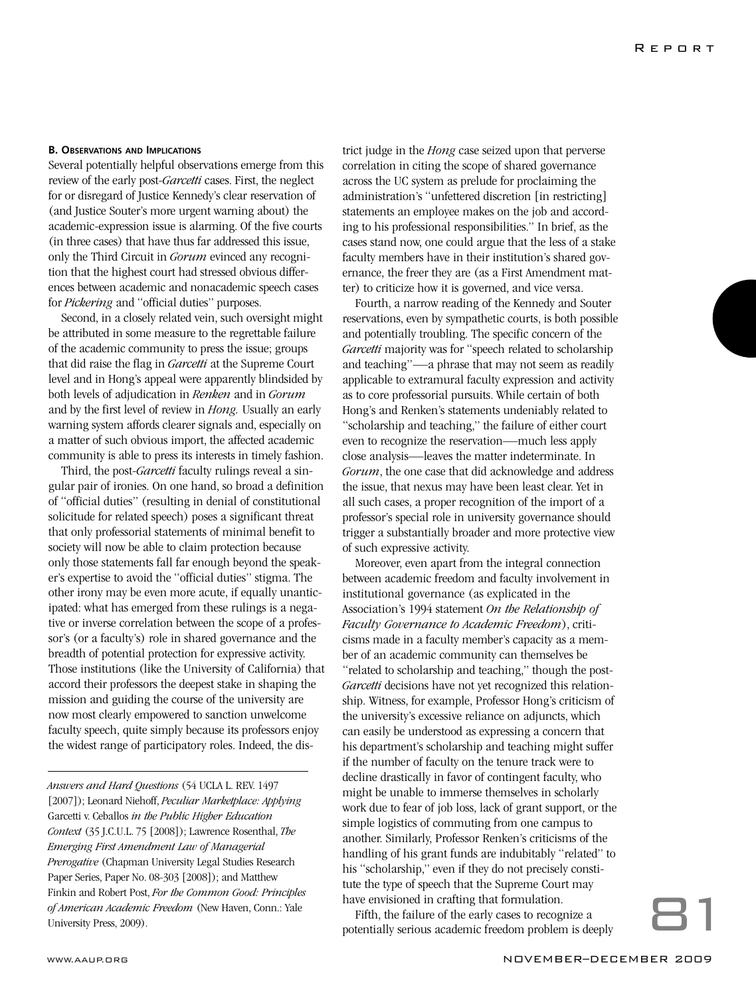### **B. OBSERVATIONS AND IMPLICATIONS**

Several potentially helpful observations emerge from this review of the early post-*Garcetti* cases. First, the neglect for or disregard of Justice Kennedy's clear reservation of (and Justice Souter's more urgent warning about) the academic-expression issue is alarming. Of the five courts (in three cases) that have thus far addressed this issue, only the Third Circuit in *Gorum* evinced any recognition that the highest court had stressed obvious differences between academic and nonacademic speech cases for *Pickering* and "official duties" purposes.

Second, in a closely related vein, such oversight might be attributed in some measure to the regrettable failure of the academic community to press the issue; groups that did raise the flag in *Garcetti* at the Supreme Court level and in Hong's appeal were apparently blindsided by both levels of adjudication in *Renken* and in *Gorum* and by the first level of review in *Hong.* Usually an early warning system affords clearer signals and, especially on a matter of such obvious import, the affected academic community is able to press its interests in timely fashion.

Third, the post-*Garcetti* faculty rulings reveal a singular pair of ironies. On one hand, so broad a definition of "official duties" (resulting in denial of constitutional solicitude for related speech) poses a significant threat that only professorial statements of minimal benefit to society will now be able to claim protection because only those statements fall far enough beyond the speaker's expertise to avoid the "official duties" stigma. The other irony may be even more acute, if equally unanticipated: what has emerged from these rulings is a negative or inverse correlation between the scope of a professor's (or a faculty's) role in shared governance and the breadth of potential protection for expressive activity. Those institutions (like the University of California) that accord their professors the deepest stake in shaping the mission and guiding the course of the university are now most clearly empowered to sanction unwelcome faculty speech, quite simply because its professors enjoy the widest range of participatory roles. Indeed, the dis-

*Answers and Hard Questions* (54 UCLA L. REV. 1497 [2007]); Leonard Niehoff, *Peculiar Marketplace: Applying* Garcetti v. Ceballos *in the Public Higher Education Context* (35 J.C.U.L. 75 [2008]); Lawrence Rosenthal, *The Emerging First Amendment Law of Managerial Prerogative* (Chapman University Legal Studies Research Paper Series, Paper No. 08-303 [2008]); and Matthew Finkin and Robert Post, *For the Common Good: Principles of American Academic Freedom* (New Haven, Conn.: Yale University Press, 2009).

trict judge in the *Hong* case seized upon that perverse correlation in citing the scope of shared governance across the UC system as prelude for proclaiming the administration's "unfettered discretion [in restricting] statements an employee makes on the job and according to his professional responsibilities." In brief, as the cases stand now, one could argue that the less of a stake faculty members have in their institution's shared governance, the freer they are (as a First Amendment matter) to criticize how it is governed, and vice versa.

Fourth, a narrow reading of the Kennedy and Souter reservations, even by sympathetic courts, is both possible and potentially troubling. The specific concern of the *Garcetti* majority was for "speech related to scholarship and teaching"—a phrase that may not seem as readily applicable to extramural faculty expression and activity as to core professorial pursuits. While certain of both Hong's and Renken's statements undeniably related to "scholarship and teaching," the failure of either court even to recognize the reservation—much less apply close analysis—leaves the matter indeterminate. In *Gorum*, the one case that did acknowledge and address the issue, that nexus may have been least clear. Yet in all such cases, a proper recognition of the import of a professor's special role in university governance should trigger a substantially broader and more protective view of such expressive activity.

Moreover, even apart from the integral connection between academic freedom and faculty involvement in institutional governance (as explicated in the Association's 1994 statement *On the Relationship of Faculty Governance to Academic Freedom*), criticisms made in a faculty member's capacity as a member of an academic community can themselves be "related to scholarship and teaching," though the post-*Garcetti* decisions have not yet recognized this relationship. Witness, for example, Professor Hong's criticism of the university's excessive reliance on adjuncts, which can easily be understood as expressing a concern that his department's scholarship and teaching might suffer if the number of faculty on the tenure track were to decline drastically in favor of contingent faculty, who might be unable to immerse themselves in scholarly work due to fear of job loss, lack of grant support, or the simple logistics of commuting from one campus to another. Similarly, Professor Renken's criticisms of the handling of his grant funds are indubitably "related" to his "scholarship," even if they do not precisely constitute the type of speech that the Supreme Court may have envisioned in crafting that formulation.

Fifth, the failure of the early cases to recognize a potentially serious academic freedom problem is deeply 81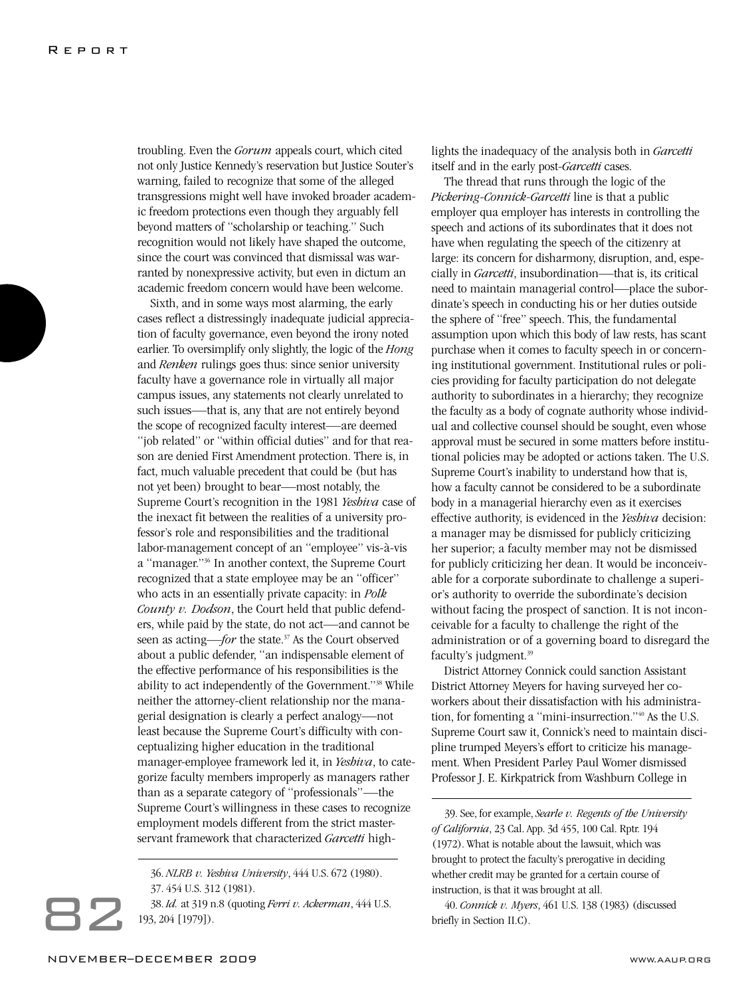troubling. Even the *Gorum* appeals court, which cited not only Justice Kennedy's reservation but Justice Souter's warning, failed to recognize that some of the alleged transgressions might well have invoked broader academic freedom protections even though they arguably fell beyond matters of "scholarship or teaching." Such recognition would not likely have shaped the outcome, since the court was convinced that dismissal was warranted by nonexpressive activity, but even in dictum an academic freedom concern would have been welcome.

Sixth, and in some ways most alarming, the early cases reflect a distressingly inadequate judicial appreciation of faculty governance, even beyond the irony noted earlier. To oversimplify only slightly, the logic of the *Hong* and *Renken* rulings goes thus: since senior university faculty have a governance role in virtually all major campus issues, any statements not clearly unrelated to such issues—that is, any that are not entirely beyond the scope of recognized faculty interest—are deemed "job related" or "within official duties" and for that reason are denied First Amendment protection. There is, in fact, much valuable precedent that could be (but has not yet been) brought to bear—most notably, the Supreme Court's recognition in the 1981 *Yeshiva* case of the inexact fit between the realities of a university professor's role and responsibilities and the traditional labor-management concept of an "employee" vis-à-vis a "manager."36 In another context, the Supreme Court recognized that a state employee may be an "officer" who acts in an essentially private capacity: in *Polk County v. Dodson*, the Court held that public defenders, while paid by the state, do not act—and cannot be seen as acting—*for* the state.<sup>37</sup> As the Court observed about a public defender, "an indispensable element of the effective performance of his responsibilities is the ability to act independently of the Government."38 While neither the attorney-client relationship nor the managerial designation is clearly a perfect analogy—not least because the Supreme Court's difficulty with conceptualizing higher education in the traditional manager-employee framework led it, in *Yeshiva*, to categorize faculty members improperly as managers rather than as a separate category of "professionals"—the Supreme Court's willingness in these cases to recognize employment models different from the strict masterservant framework that characterized *Garcetti* high-

38. *Id.* at 319 n.8 (quoting *Ferri v. Ackerman*, 444 U.S. 193, 204 [1979]).

lights the inadequacy of the analysis both in *Garcetti* itself and in the early post-*Garcetti* cases.

The thread that runs through the logic of the *Pickering*-*Connick-Garcetti* line is that a public employer qua employer has interests in controlling the speech and actions of its subordinates that it does not have when regulating the speech of the citizenry at large: its concern for disharmony, disruption, and, especially in *Garcetti*, insubordination—that is, its critical need to maintain managerial control—place the subordinate's speech in conducting his or her duties outside the sphere of "free" speech. This, the fundamental assumption upon which this body of law rests, has scant purchase when it comes to faculty speech in or concerning institutional government. Institutional rules or policies providing for faculty participation do not delegate authority to subordinates in a hierarchy; they recognize the faculty as a body of cognate authority whose individual and collective counsel should be sought, even whose approval must be secured in some matters before institutional policies may be adopted or actions taken. The U.S. Supreme Court's inability to understand how that is, how a faculty cannot be considered to be a subordinate body in a managerial hierarchy even as it exercises effective authority, is evidenced in the *Yeshiva* decision: a manager may be dismissed for publicly criticizing her superior; a faculty member may not be dismissed for publicly criticizing her dean. It would be inconceivable for a corporate subordinate to challenge a superior's authority to override the subordinate's decision without facing the prospect of sanction. It is not inconceivable for a faculty to challenge the right of the administration or of a governing board to disregard the faculty's judgment.39

District Attorney Connick could sanction Assistant District Attorney Meyers for having surveyed her coworkers about their dissatisfaction with his administration, for fomenting a "mini-insurrection."40 As the U.S. Supreme Court saw it, Connick's need to maintain discipline trumped Meyers's effort to criticize his management. When President Parley Paul Womer dismissed Professor J. E. Kirkpatrick from Washburn College in

39. See, for example, *Searle v. Regents of the University of California*, 23 Cal. App. 3d 455, 100 Cal. Rptr. 194 (1972). What is notable about the lawsuit, which was brought to protect the faculty's prerogative in deciding whether credit may be granted for a certain course of instruction, is that it was brought at all.

40. *Connick v. Myers*, 461 U.S. 138 (1983) (discussed briefly in Section II.C).

<sup>36.</sup> *NLRB v. Yeshiva University*, 444 U.S. 672 (1980). 37. 454 U.S. 312 (1981).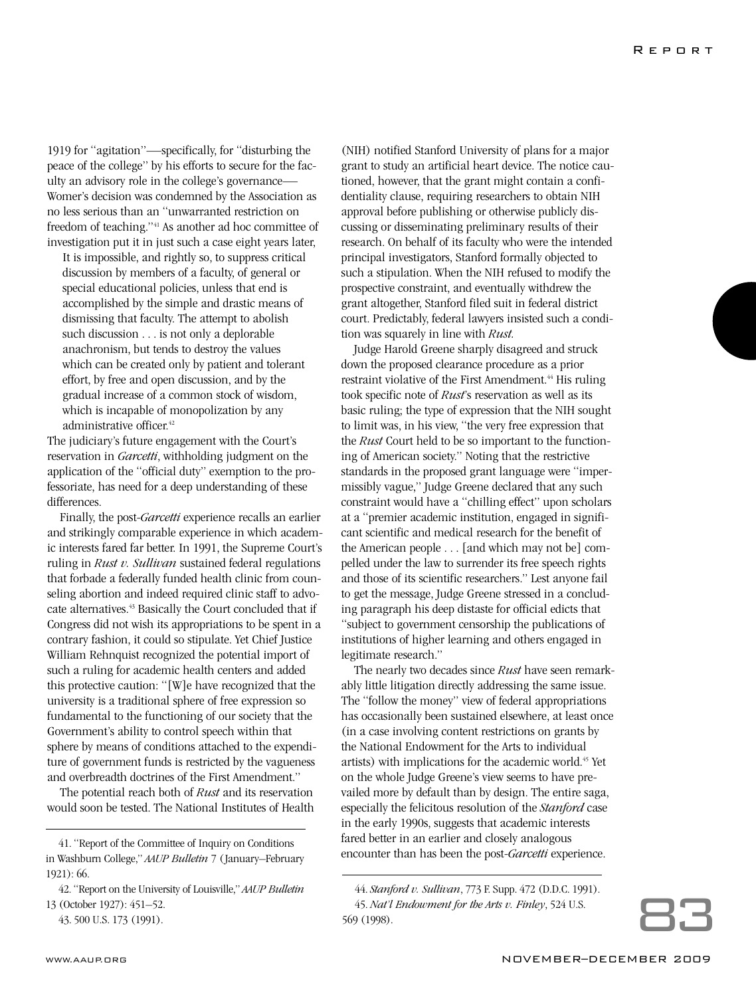1919 for "agitation"—specifically, for "disturbing the peace of the college" by his efforts to secure for the faculty an advisory role in the college's governance— Womer's decision was condemned by the Association as no less serious than an "unwarranted restriction on freedom of teaching."<sup>41</sup> As another ad hoc committee of investigation put it in just such a case eight years later,

It is impossible, and rightly so, to suppress critical discussion by members of a faculty, of general or special educational policies, unless that end is accomplished by the simple and drastic means of dismissing that faculty. The attempt to abolish such discussion . . . is not only a deplorable anachronism, but tends to destroy the values which can be created only by patient and tolerant effort, by free and open discussion, and by the gradual increase of a common stock of wisdom, which is incapable of monopolization by any administrative officer.<sup>42</sup>

The judiciary's future engagement with the Court's reservation in *Garcetti*, withholding judgment on the application of the "official duty" exemption to the professoriate, has need for a deep understanding of these differences.

Finally, the post-*Garcetti* experience recalls an earlier and strikingly comparable experience in which academic interests fared far better. In 1991, the Supreme Court's ruling in *Rust v. Sullivan* sustained federal regulations that forbade a federally funded health clinic from counseling abortion and indeed required clinic staff to advocate alternatives.<sup>43</sup> Basically the Court concluded that if Congress did not wish its appropriations to be spent in a contrary fashion, it could so stipulate. Yet Chief Justice William Rehnquist recognized the potential import of such a ruling for academic health centers and added this protective caution: "[W]e have recognized that the university is a traditional sphere of free expression so fundamental to the functioning of our society that the Government's ability to control speech within that sphere by means of conditions attached to the expenditure of government funds is restricted by the vagueness and overbreadth doctrines of the First Amendment."

The potential reach both of *Rust* and its reservation would soon be tested. The National Institutes of Health

(NIH) notified Stanford University of plans for a major grant to study an artificial heart device. The notice cautioned, however, that the grant might contain a confidentiality clause, requiring researchers to obtain NIH approval before publishing or otherwise publicly discussing or disseminating preliminary results of their research. On behalf of its faculty who were the intended principal investigators, Stanford formally objected to such a stipulation. When the NIH refused to modify the prospective constraint, and eventually withdrew the grant altogether, Stanford filed suit in federal district court. Predictably, federal lawyers insisted such a condition was squarely in line with *Rust.*

Judge Harold Greene sharply disagreed and struck down the proposed clearance procedure as a prior restraint violative of the First Amendment.<sup>44</sup> His ruling took specific note of *Rust*'s reservation as well as its basic ruling; the type of expression that the NIH sought to limit was, in his view, "the very free expression that the *Rust* Court held to be so important to the functioning of American society." Noting that the restrictive standards in the proposed grant language were "impermissibly vague," Judge Greene declared that any such constraint would have a "chilling effect" upon scholars at a "premier academic institution, engaged in significant scientific and medical research for the benefit of the American people . . . [and which may not be] compelled under the law to surrender its free speech rights and those of its scientific researchers." Lest anyone fail to get the message, Judge Greene stressed in a concluding paragraph his deep distaste for official edicts that "subject to government censorship the publications of institutions of higher learning and others engaged in legitimate research."

The nearly two decades since *Rust* have seen remarkably little litigation directly addressing the same issue. The "follow the money" view of federal appropriations has occasionally been sustained elsewhere, at least once (in a case involving content restrictions on grants by the National Endowment for the Arts to individual artists) with implications for the academic world.45 Yet on the whole Judge Greene's view seems to have prevailed more by default than by design. The entire saga, especially the felicitous resolution of the *Stanford* case in the early 1990s, suggests that academic interests fared better in an earlier and closely analogous encounter than has been the post-*Garcetti* experience.

<sup>41. &</sup>quot;Report of the Committee of Inquiry on Conditions in Washburn College," *AAUP Bulletin* 7 (January–February 1921): 66.

<sup>42. &</sup>quot;Report on the University of Louisville," *AAUP Bulletin* 13 (October 1927): 451–52.

<sup>43. 500</sup> U.S. 173 (1991).

<sup>44.</sup> *Stanford v. Sullivan*, 773 F. Supp. 472 (D.D.C. 1991). 45. *Nat'l Endowment for the Arts v. Finley*, 524 U.S. 569 (1998).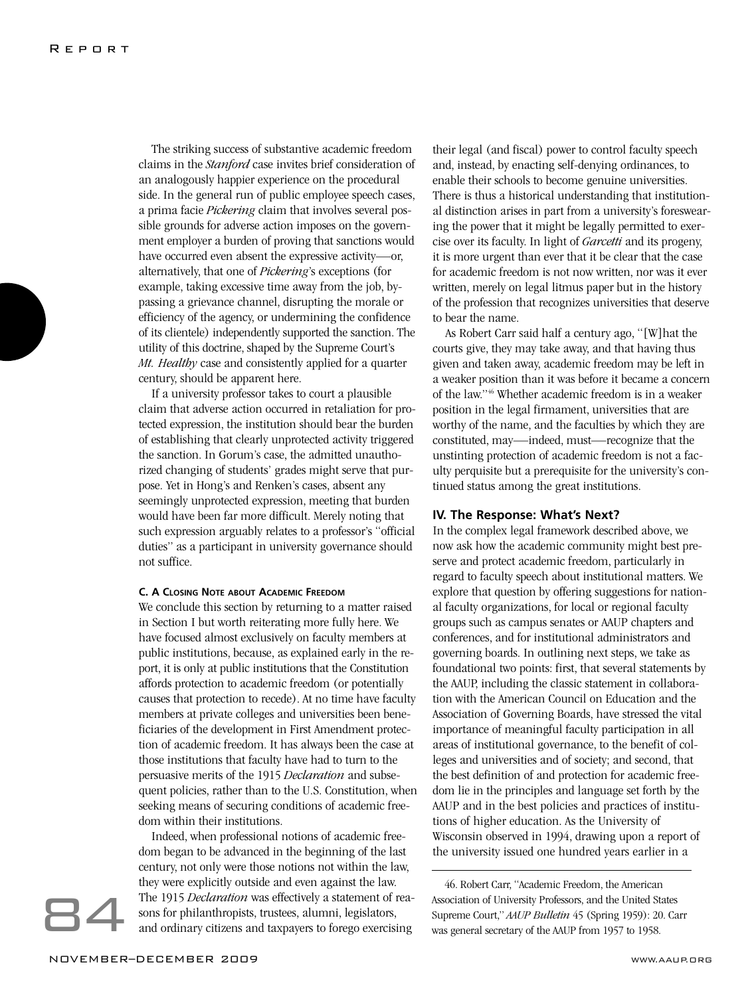The striking success of substantive academic freedom claims in the *Stanford* case invites brief consideration of an analogously happier experience on the procedural side. In the general run of public employee speech cases, a prima facie *Pickering* claim that involves several possible grounds for adverse action imposes on the government employer a burden of proving that sanctions would have occurred even absent the expressive activity—or, alternatively, that one of *Pickering*'s exceptions (for example, taking excessive time away from the job, bypassing a grievance channel, disrupting the morale or efficiency of the agency, or undermining the confidence of its clientele) independently supported the sanction. The utility of this doctrine, shaped by the Supreme Court's *Mt. Healthy* case and consistently applied for a quarter century, should be apparent here.

If a university professor takes to court a plausible claim that adverse action occurred in retaliation for protected expression, the institution should bear the burden of establishing that clearly unprotected activity triggered the sanction. In Gorum's case, the admitted unauthorized changing of students' grades might serve that purpose. Yet in Hong's and Renken's cases, absent any seemingly unprotected expression, meeting that burden would have been far more difficult. Merely noting that such expression arguably relates to a professor's "official duties" as a participant in university governance should not suffice.

### **C. A CLOSING NOTE ABOUT ACADEMIC FREEDOM**

We conclude this section by returning to a matter raised in Section I but worth reiterating more fully here. We have focused almost exclusively on faculty members at public institutions, because, as explained early in the report, it is only at public institutions that the Constitution affords protection to academic freedom (or potentially causes that protection to recede). At no time have faculty members at private colleges and universities been beneficiaries of the development in First Amendment protection of academic freedom. It has always been the case at those institutions that faculty have had to turn to the persuasive merits of the 1915 *Declaration* and subsequent policies, rather than to the U.S. Constitution, when seeking means of securing conditions of academic freedom within their institutions.

Indeed, when professional notions of academic freedom began to be advanced in the beginning of the last century, not only were those notions not within the law, they were explicitly outside and even against the law. The 1915 *Declaration* was effectively a statement of reasons for philanthropists, trustees, alumni, legislators, and ordinary citizens and taxpayers to forego exercising

their legal (and fiscal) power to control faculty speech and, instead, by enacting self-denying ordinances, to enable their schools to become genuine universities. There is thus a historical understanding that institutional distinction arises in part from a university's foreswearing the power that it might be legally permitted to exercise over its faculty. In light of *Garcetti* and its progeny, it is more urgent than ever that it be clear that the case for academic freedom is not now written, nor was it ever written, merely on legal litmus paper but in the history of the profession that recognizes universities that deserve to bear the name.

As Robert Carr said half a century ago, "[W]hat the courts give, they may take away, and that having thus given and taken away, academic freedom may be left in a weaker position than it was before it became a concern of the law."46 Whether academic freedom is in a weaker position in the legal firmament, universities that are worthy of the name, and the faculties by which they are constituted, may—indeed, must—recognize that the unstinting protection of academic freedom is not a faculty perquisite but a prerequisite for the university's continued status among the great institutions.

### **IV. The Response: What's Next?**

In the complex legal framework described above, we now ask how the academic community might best preserve and protect academic freedom, particularly in regard to faculty speech about institutional matters. We explore that question by offering suggestions for national faculty organizations, for local or regional faculty groups such as campus senates or AAUP chapters and conferences, and for institutional administrators and governing boards. In outlining next steps, we take as foundational two points: first, that several statements by the AAUP, including the classic statement in collaboration with the American Council on Education and the Association of Governing Boards, have stressed the vital importance of meaningful faculty participation in all areas of institutional governance, to the benefit of colleges and universities and of society; and second, that the best definition of and protection for academic freedom lie in the principles and language set forth by the AAUP and in the best policies and practices of institutions of higher education. As the University of Wisconsin observed in 1994, drawing upon a report of the university issued one hundred years earlier in a

46. Robert Carr, "Academic Freedom, the American Association of University Professors, and the United States Supreme Court," *AAUP Bulletin* 45 (Spring 1959): 20. Carr was general secretary of the AAUP from 1957 to 1958.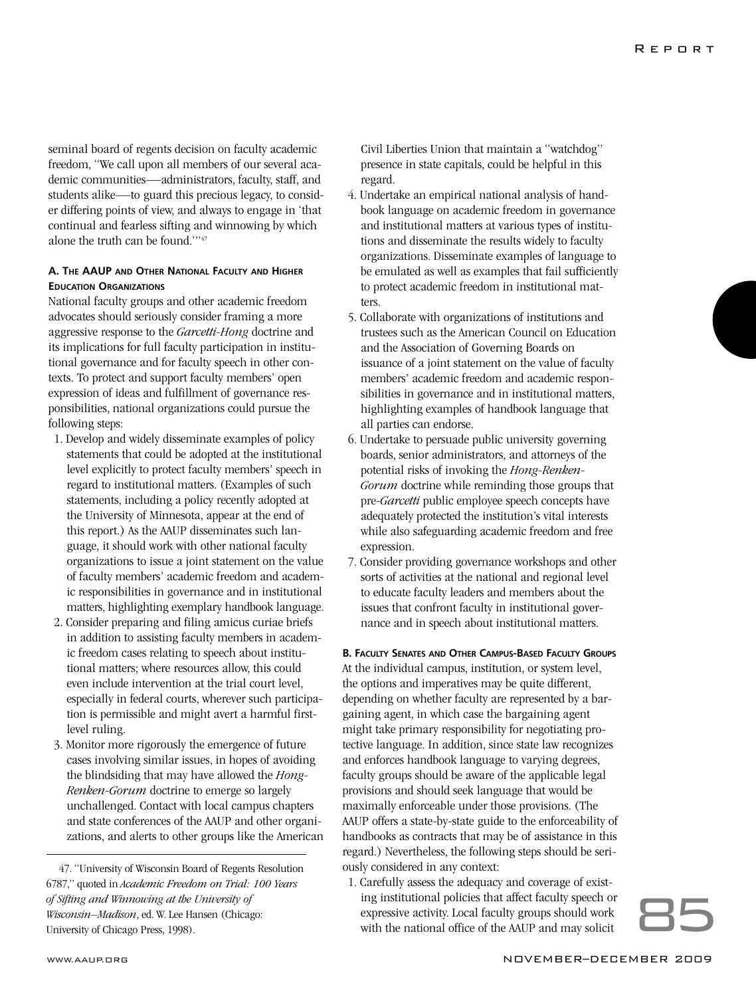seminal board of regents decision on faculty academic freedom, "We call upon all members of our several academic communities—administrators, faculty, staff, and students alike—to guard this precious legacy, to consider differing points of view, and always to engage in 'that continual and fearless sifting and winnowing by which alone the truth can be found.'"47

### **A. THE AAUP AND OTHER NATIONAL FACULTY AND HIGHER EDUCATION ORGANIZATIONS**

National faculty groups and other academic freedom advocates should seriously consider framing a more aggressive response to the *Garcetti-Hong* doctrine and its implications for full faculty participation in institutional governance and for faculty speech in other contexts. To protect and support faculty members' open expression of ideas and fulfillment of governance responsibilities, national organizations could pursue the following steps:

- 1. Develop and widely disseminate examples of policy statements that could be adopted at the institutional level explicitly to protect faculty members' speech in regard to institutional matters. (Examples of such statements, including a policy recently adopted at the University of Minnesota, appear at the end of this report.) As the AAUP disseminates such language, it should work with other national faculty organizations to issue a joint statement on the value of faculty members' academic freedom and academic responsibilities in governance and in institutional matters, highlighting exemplary handbook language.
- 2. Consider preparing and filing amicus curiae briefs in addition to assisting faculty members in academic freedom cases relating to speech about institutional matters; where resources allow, this could even include intervention at the trial court level, especially in federal courts, wherever such participation is permissible and might avert a harmful firstlevel ruling.
- 3. Monitor more rigorously the emergence of future cases involving similar issues, in hopes of avoiding the blindsiding that may have allowed the *Hong-Renken-Gorum* doctrine to emerge so largely unchallenged. Contact with local campus chapters and state conferences of the AAUP and other organizations, and alerts to other groups like the American

47. "University of Wisconsin Board of Regents Resolution 6787," quoted in *Academic Freedom on Trial: 100 Years of Sifting and Winnowing at the University of Wisconsin–Madison*, ed. W. Lee Hansen (Chicago: University of Chicago Press, 1998).

Civil Liberties Union that maintain a "watchdog" presence in state capitals, could be helpful in this regard.

- 4. Undertake an empirical national analysis of handbook language on academic freedom in governance and institutional matters at various types of institutions and disseminate the results widely to faculty organizations. Disseminate examples of language to be emulated as well as examples that fail sufficiently to protect academic freedom in institutional matters.
- 5. Collaborate with organizations of institutions and trustees such as the American Council on Education and the Association of Governing Boards on issuance of a joint statement on the value of faculty members' academic freedom and academic responsibilities in governance and in institutional matters, highlighting examples of handbook language that all parties can endorse.
- 6. Undertake to persuade public university governing boards, senior administrators, and attorneys of the potential risks of invoking the *Hong-Renken-Gorum* doctrine while reminding those groups that pre-*Garcetti* public employee speech concepts have adequately protected the institution's vital interests while also safeguarding academic freedom and free expression.
- 7. Consider providing governance workshops and other sorts of activities at the national and regional level to educate faculty leaders and members about the issues that confront faculty in institutional governance and in speech about institutional matters.

### **B. FACULTY SENATES AND OTHER CAMPUS-BASED FACULTY GROUPS**

At the individual campus, institution, or system level, the options and imperatives may be quite different, depending on whether faculty are represented by a bargaining agent, in which case the bargaining agent might take primary responsibility for negotiating protective language. In addition, since state law recognizes and enforces handbook language to varying degrees, faculty groups should be aware of the applicable legal provisions and should seek language that would be maximally enforceable under those provisions. (The AAUP offers a state-by-state guide to the enforceability of handbooks as contracts that may be of assistance in this regard.) Nevertheless, the following steps should be seriously considered in any context:

1. Carefully assess the adequacy and coverage of existing institutional policies that affect faculty speech or expressive activity. Local faculty groups should work Example of exist-Carefully assess the adequacy and coverage of exist-<br>ing institutional policies that affect faculty speech or<br>expressive activity. Local faculty groups should work<br>with the national office of the AAUP and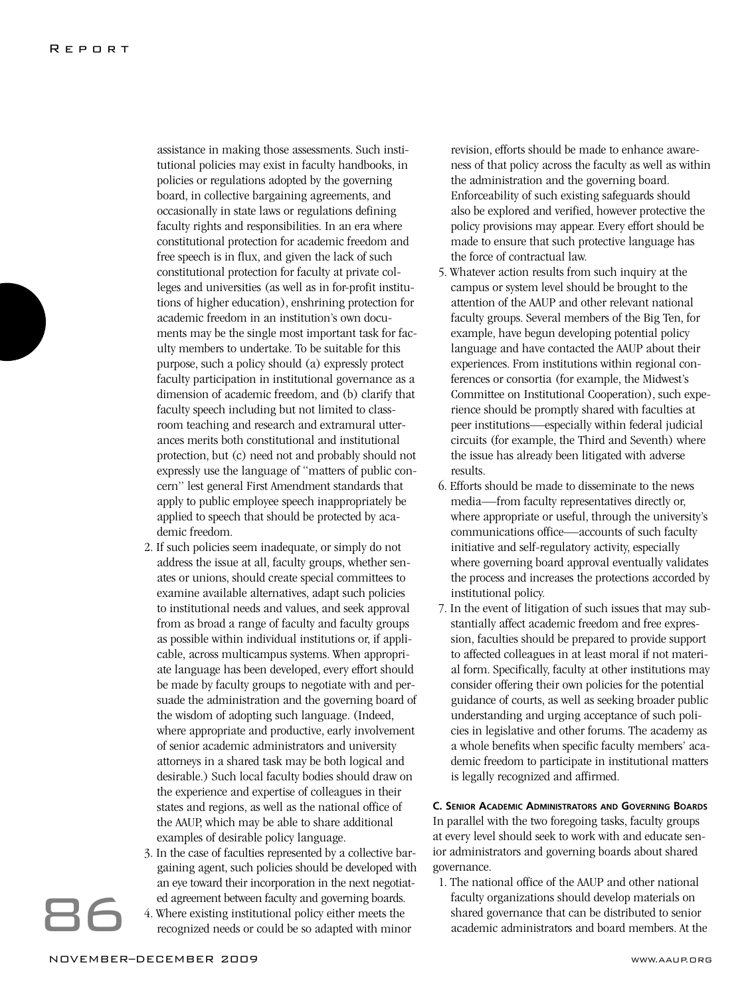assistance in making those assessments. Such institutional policies may exist in faculty handbooks, in policies or regulations adopted by the governing board, in collective bargaining agreements, and occasionally in state laws or regulations defining faculty rights and responsibilities. In an era where constitutional protection for academic freedom and free speech is in flux, and given the lack of such constitutional protection for faculty at private colleges and universities (as well as in for-profit institutions of higher education), enshrining protection for academic freedom in an institution's own documents may be the single most important task for faculty members to undertake. To be suitable for this purpose, such a policy should (a) expressly protect faculty participation in institutional governance as a dimension of academic freedom, and (b) clarify that faculty speech including but not limited to classroom teaching and research and extramural utterances merits both constitutional and institutional protection, but (c) need not and probably should not expressly use the language of "matters of public concern" lest general First Amendment standards that apply to public employee speech inappropriately be applied to speech that should be protected by academic freedom.

- 2. If such policies seem inadequate, or simply do not address the issue at all, faculty groups, whether senates or unions, should create special committees to examine available alternatives, adapt such policies to institutional needs and values, and seek approval from as broad a range of faculty and faculty groups as possible within individual institutions or, if applicable, across multicampus systems. When appropriate language has been developed, every effort should be made by faculty groups to negotiate with and persuade the administration and the governing board of the wisdom of adopting such language. (Indeed, where appropriate and productive, early involvement of senior academic administrators and university attorneys in a shared task may be both logical and desirable.) Such local faculty bodies should draw on the experience and expertise of colleagues in their states and regions, as well as the national office of the AAUP, which may be able to share additional examples of desirable policy language.
- 3. In the case of faculties represented by a collective bargaining agent, such policies should be developed with an eye toward their incorporation in the next negotiated agreement between faculty and governing boards.
- 4. Where existing institutional policy either meets the recognized needs or could be so adapted with minor

revision, efforts should be made to enhance awareness of that policy across the faculty as well as within the administration and the governing board. Enforceability of such existing safeguards should also be explored and verified, however protective the policy provisions may appear. Every effort should be made to ensure that such protective language has the force of contractual law.

- 5. Whatever action results from such inquiry at the campus or system level should be brought to the attention of the AAUP and other relevant national faculty groups. Several members of the Big Ten, for example, have begun developing potential policy language and have contacted the AAUP about their experiences. From institutions within regional conferences or consortia (for example, the Midwest's Committee on Institutional Cooperation), such experience should be promptly shared with faculties at peer institutions—especially within federal judicial circuits (for example, the Third and Seventh) where the issue has already been litigated with adverse results.
- 6. Efforts should be made to disseminate to the news media—from faculty representatives directly or, where appropriate or useful, through the university's communications office—accounts of such faculty initiative and self-regulatory activity, especially where governing board approval eventually validates the process and increases the protections accorded by institutional policy.
- 7. In the event of litigation of such issues that may substantially affect academic freedom and free expression, faculties should be prepared to provide support to affected colleagues in at least moral if not material form. Specifically, faculty at other institutions may consider offering their own policies for the potential guidance of courts, as well as seeking broader public understanding and urging acceptance of such policies in legislative and other forums. The academy as a whole benefits when specific faculty members' academic freedom to participate in institutional matters is legally recognized and affirmed.

### **C. SENIOR ACADEMIC ADMINISTRATORS AND GOVERNING BOARDS**

In parallel with the two foregoing tasks, faculty groups at every level should seek to work with and educate senior administrators and governing boards about shared governance.

1. The national office of the AAUP and other national faculty organizations should develop materials on shared governance that can be distributed to senior academic administrators and board members. At the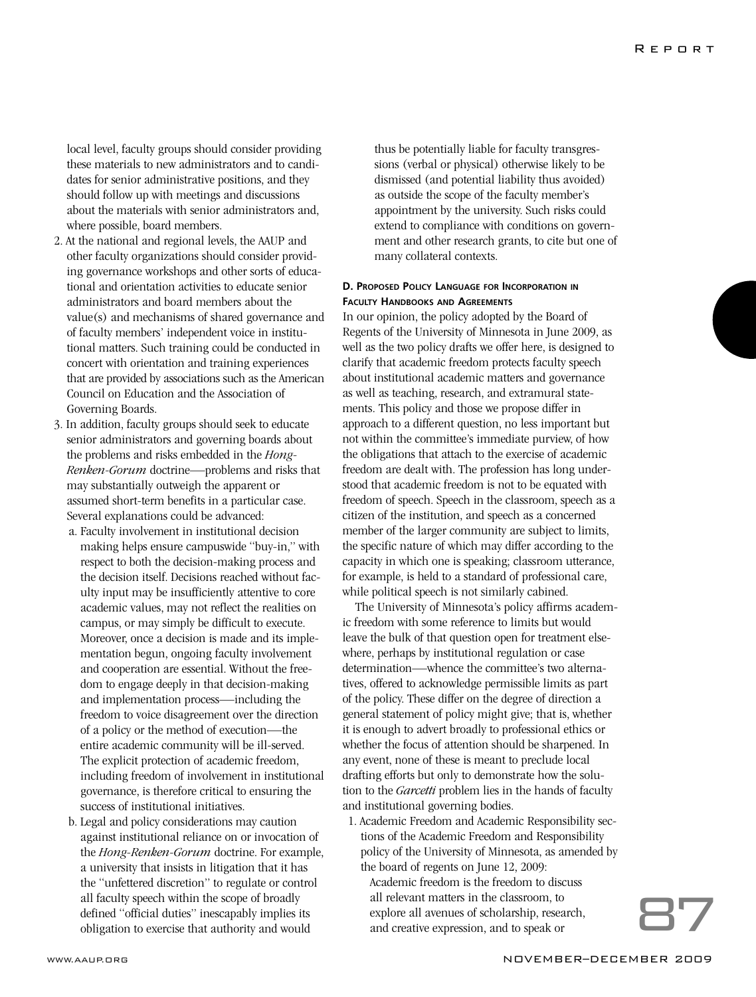local level, faculty groups should consider providing these materials to new administrators and to candidates for senior administrative positions, and they should follow up with meetings and discussions about the materials with senior administrators and, where possible, board members.

- 2. At the national and regional levels, the AAUP and other faculty organizations should consider providing governance workshops and other sorts of educational and orientation activities to educate senior administrators and board members about the value(s) and mechanisms of shared governance and of faculty members' independent voice in institutional matters. Such training could be conducted in concert with orientation and training experiences that are provided by associations such as the American Council on Education and the Association of Governing Boards.
- 3. In addition, faculty groups should seek to educate senior administrators and governing boards about the problems and risks embedded in the *Hong-Renken-Gorum* doctrine—problems and risks that may substantially outweigh the apparent or assumed short-term benefits in a particular case. Several explanations could be advanced:
	- a. Faculty involvement in institutional decision making helps ensure campuswide "buy-in," with respect to both the decision-making process and the decision itself. Decisions reached without faculty input may be insufficiently attentive to core academic values, may not reflect the realities on campus, or may simply be difficult to execute. Moreover, once a decision is made and its implementation begun, ongoing faculty involvement and cooperation are essential. Without the freedom to engage deeply in that decision-making and implementation process—including the freedom to voice disagreement over the direction of a policy or the method of execution—the entire academic community will be ill-served. The explicit protection of academic freedom, including freedom of involvement in institutional governance, is therefore critical to ensuring the success of institutional initiatives.
	- b. Legal and policy considerations may caution against institutional reliance on or invocation of the *Hong-Renken-Gorum* doctrine. For example, a university that insists in litigation that it has the "unfettered discretion" to regulate or control all faculty speech within the scope of broadly defined "official duties" inescapably implies its obligation to exercise that authority and would

thus be potentially liable for faculty transgressions (verbal or physical) otherwise likely to be dismissed (and potential liability thus avoided) as outside the scope of the faculty member's appointment by the university. Such risks could extend to compliance with conditions on government and other research grants, to cite but one of many collateral contexts.

### **D. PROPOSED POLICY LANGUAGE FOR INCORPORATION IN FACULTY HANDBOOKS AND AGREEMENTS**

In our opinion, the policy adopted by the Board of Regents of the University of Minnesota in June 2009, as well as the two policy drafts we offer here, is designed to clarify that academic freedom protects faculty speech about institutional academic matters and governance as well as teaching, research, and extramural statements. This policy and those we propose differ in approach to a different question, no less important but not within the committee's immediate purview, of how the obligations that attach to the exercise of academic freedom are dealt with. The profession has long understood that academic freedom is not to be equated with freedom of speech. Speech in the classroom, speech as a citizen of the institution, and speech as a concerned member of the larger community are subject to limits, the specific nature of which may differ according to the capacity in which one is speaking; classroom utterance, for example, is held to a standard of professional care, while political speech is not similarly cabined.

The University of Minnesota's policy affirms academic freedom with some reference to limits but would leave the bulk of that question open for treatment elsewhere, perhaps by institutional regulation or case determination—whence the committee's two alternatives, offered to acknowledge permissible limits as part of the policy. These differ on the degree of direction a general statement of policy might give; that is, whether it is enough to advert broadly to professional ethics or whether the focus of attention should be sharpened. In any event, none of these is meant to preclude local drafting efforts but only to demonstrate how the solution to the *Garcetti* problem lies in the hands of faculty and institutional governing bodies.

1. Academic Freedom and Academic Responsibility sections of the Academic Freedom and Responsibility policy of the University of Minnesota, as amended by the board of regents on June 12, 2009:

E board of regents on june 12, 2009.<br>
Academic freedom is the freedom to discuss<br>
all relevant matters in the classroom, to<br>
explore all avenues of scholarship, research,<br>
and creative expression, and to speak or all relevant matters in the classroom, to explore all avenues of scholarship, research,